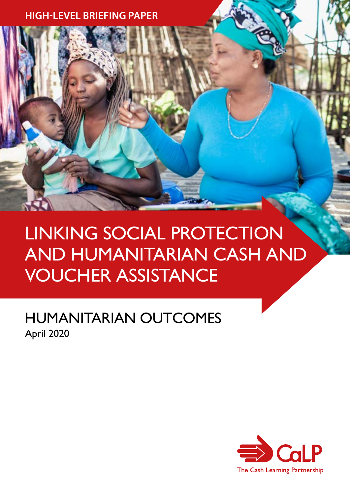**HIGH-LEVEL BRIEFING PAPER**

# LINKING SOCIAL PROTECTION AND HUMANITARIAN CASH AND VOUCHER ASSISTANCE

## HUMANITARIAN OUTCOMES April 2020

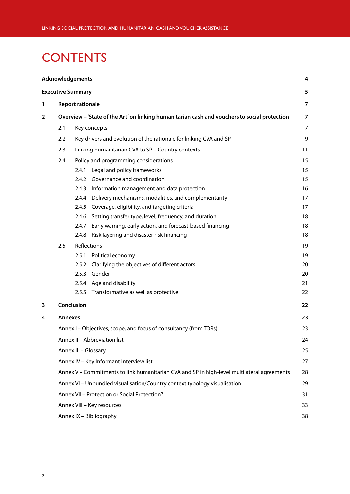## <span id="page-1-0"></span>**CONTENTS**

|   |                                                                                                                         | <b>Acknowledgements</b>                      |                                                                   | 4  |  |  |
|---|-------------------------------------------------------------------------------------------------------------------------|----------------------------------------------|-------------------------------------------------------------------|----|--|--|
|   |                                                                                                                         | <b>Executive Summary</b>                     |                                                                   | 5  |  |  |
| 1 | <b>Report rationale</b><br>Overview - 'State of the Art' on linking humanitarian cash and vouchers to social protection |                                              |                                                                   |    |  |  |
| 2 |                                                                                                                         |                                              |                                                                   |    |  |  |
|   | 2.1                                                                                                                     |                                              | Key concepts                                                      | 7  |  |  |
|   | 2.2                                                                                                                     |                                              | Key drivers and evolution of the rationale for linking CVA and SP | 9  |  |  |
|   | 2.3                                                                                                                     |                                              | Linking humanitarian CVA to SP - Country contexts                 | 11 |  |  |
|   | Policy and programming considerations<br>2.4                                                                            |                                              |                                                                   | 15 |  |  |
|   |                                                                                                                         |                                              | 2.4.1 Legal and policy frameworks                                 | 15 |  |  |
|   |                                                                                                                         |                                              | 2.4.2 Governance and coordination                                 | 15 |  |  |
|   |                                                                                                                         |                                              | 2.4.3 Information management and data protection                  | 16 |  |  |
|   |                                                                                                                         | 2.4.4                                        | Delivery mechanisms, modalities, and complementarity              | 17 |  |  |
|   |                                                                                                                         |                                              | 2.4.5 Coverage, eligibility, and targeting criteria               | 17 |  |  |
|   |                                                                                                                         | 2.4.6                                        | Setting transfer type, level, frequency, and duration             | 18 |  |  |
|   |                                                                                                                         | 2.4.7                                        | Early warning, early action, and forecast-based financing         | 18 |  |  |
|   |                                                                                                                         |                                              | 2.4.8 Risk layering and disaster risk financing                   | 18 |  |  |
|   | 2.5                                                                                                                     |                                              | Reflections                                                       | 19 |  |  |
|   |                                                                                                                         | 2.5.1                                        | Political economy                                                 | 19 |  |  |
|   |                                                                                                                         | 2.5.2                                        | Clarifying the objectives of different actors                     | 20 |  |  |
|   |                                                                                                                         |                                              | 2.5.3 Gender                                                      | 20 |  |  |
|   |                                                                                                                         |                                              | 2.5.4 Age and disability                                          | 21 |  |  |
|   |                                                                                                                         | 2.5.5                                        | Transformative as well as protective                              | 22 |  |  |
| 3 |                                                                                                                         | Conclusion                                   |                                                                   | 22 |  |  |
| 4 | <b>Annexes</b>                                                                                                          |                                              |                                                                   | 23 |  |  |
|   |                                                                                                                         |                                              | Annex I - Objectives, scope, and focus of consultancy (from TORs) | 23 |  |  |
|   |                                                                                                                         |                                              | Annex II - Abbreviation list                                      | 24 |  |  |
|   | Annex III - Glossary                                                                                                    |                                              |                                                                   |    |  |  |
|   | Annex IV - Key Informant Interview list                                                                                 |                                              |                                                                   |    |  |  |
|   | Annex V - Commitments to link humanitarian CVA and SP in high-level multilateral agreements                             |                                              |                                                                   |    |  |  |
|   | Annex VI - Unbundled visualisation/Country context typology visualisation                                               |                                              |                                                                   |    |  |  |
|   |                                                                                                                         | Annex VII - Protection or Social Protection? |                                                                   |    |  |  |
|   | Annex VIII - Key resources                                                                                              |                                              |                                                                   |    |  |  |
|   | Annex IX - Bibliography                                                                                                 |                                              |                                                                   |    |  |  |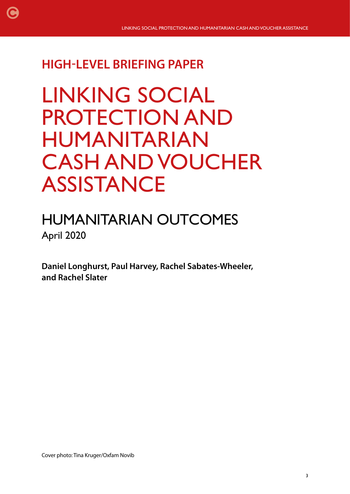## **HIGH-LEVEL BRIEFING PAPER**

[C](#page-1-0)

# LINKING SOCIAL PROTECTION AND HUMANITARIAN CASH AND VOUCHER ASSISTANCE

## HUMANITARIAN OUTCOMES April 2020

**Daniel Longhurst, Paul Harvey, Rachel Sabates-Wheeler, and Rachel Slater**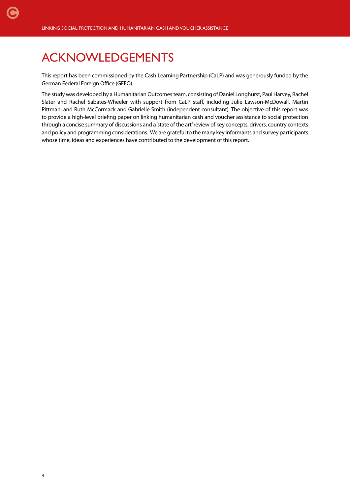## <span id="page-3-0"></span>ACKNOWLEDGEMENTS

This report has been commissioned by the Cash Learning Partnership (CaLP) and was generously funded by the German Federal Foreign Office (GFFO).

The study was developed by a Humanitarian Outcomes team, consisting of Daniel Longhurst, Paul Harvey, Rachel Slater and Rachel Sabates-Wheeler with support from CaLP staff, including Julie Lawson-McDowall, Martin Pittman, and Ruth McCormack and Gabrielle Smith (independent consultant). The objective of this report was to provide a high-level briefing paper on linking humanitarian cash and voucher assistance to social protection through a concise summary of discussions and a 'state of the art' review of key concepts, drivers, country contexts and policy and programming considerations. We are grateful to the many key informants and survey participants whose time, ideas and experiences have contributed to the development of this report.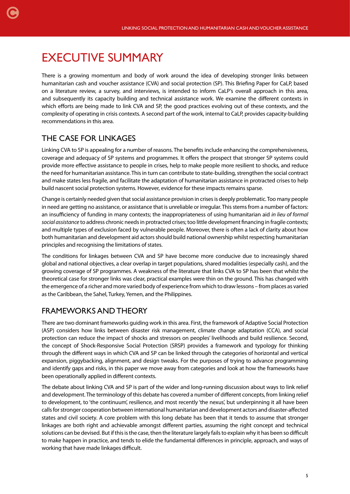## <span id="page-4-0"></span>EXECUTIVE SUMMARY

There is a growing momentum and body of work around the idea of developing stronger links between humanitarian cash and voucher assistance (CVA) and social protection (SP). This Briefing Paper for CaLP, based on a literature review, a survey, and interviews, is intended to inform CaLP's overall approach in this area, and subsequently its capacity building and technical assistance work. We examine the different contexts in which efforts are being made to link CVA and SP, the good practices evolving out of these contexts, and the complexity of operating in crisis contexts. A second part of the work, internal to CaLP, provides capacity-building recommendations in this area.

## THE CASE FOR LINKAGES

Linking CVA to SP is appealing for a number of reasons. The benefits include enhancing the comprehensiveness, coverage and adequacy of SP systems and programmes. It offers the prospect that stronger SP systems could provide more effective assistance to people in crises, help to make people more resilient to shocks, and reduce the need for humanitarian assistance. This in turn can contribute to state-building, strengthen the social contract and make states less fragile, and facilitate the adaptation of humanitarian assistance in protracted crises to help build nascent social protection systems. However, evidence for these impacts remains sparse.

Change is certainly needed given that social assistance provision in crises is deeply problematic. Too many people in need are getting no assistance, or assistance that is unreliable or irregular. This stems from a number of factors: an insufficiency of funding in many contexts; the inappropriateness of using humanitarian aid *in lieu of formal social assistance* to address chronic needs in protracted crises; too little development financing in fragile contexts; and multiple types of exclusion faced by vulnerable people. Moreover, there is often a lack of clarity about how both humanitarian and development aid actors should build national ownership whilst respecting humanitarian principles and recognising the limitations of states.

The conditions for linkages between CVA and SP have become more conducive due to increasingly shared global and national objectives, a clear overlap in target populations, shared modalities (especially cash), and the growing coverage of SP programmes. A weakness of the literature that links CVA to SP has been that whilst the theoretical case for stronger links was clear, practical examples were thin on the ground. This has changed with the emergence of a richer and more varied body of experience from which to draw lessons – from places as varied as the Caribbean, the Sahel, Turkey, Yemen, and the Philippines.

### FRAMEWORKS AND THEORY

There are two dominant frameworks guiding work in this area. First, the framework of Adaptive Social Protection (ASP) considers how links between disaster risk management, climate change adaptation (CCA), and social protection can reduce the impact of shocks and stressors on peoples' livelihoods and build resilience. Second, the concept of Shock-Responsive Social Protection (SRSP) provides a framework and typology for thinking through the different ways in which CVA and SP can be linked through the categories of horizontal and vertical expansion, piggybacking, alignment, and design tweaks. For the purposes of trying to advance programming and identify gaps and risks, in this paper we move away from categories and look at how the frameworks have been operationally applied in different contexts.

The debate about linking CVA and SP is part of the wider and long-running discussion about ways to link relief and development. The terminology of this debate has covered a number of different concepts, from linking relief to development, to 'the continuum', resilience, and most recently 'the nexus', but underpinning it all have been calls for stronger cooperation between international humanitarian and development actors and disaster-affected states and civil society. A core problem with this long debate has been that it tends to assume that stronger linkages are both right and achievable amongst different parties, assuming the right concept and technical solutions can be devised. But if this is the case, then the literature largely fails to explain why it has been so difficult to make happen in practice, and tends to elide the fundamental differences in principle, approach, and ways of working that have made linkages difficult.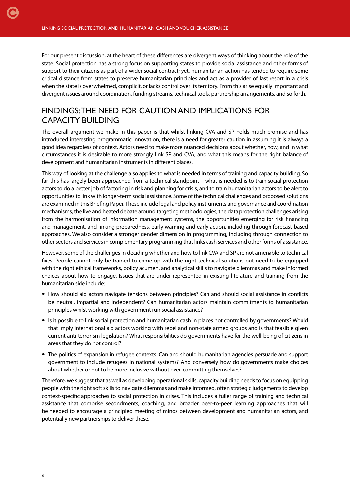For our present discussion, at the heart of these differences are divergent ways of thinking about the role of the state. Social protection has a strong focus on supporting states to provide social assistance and other forms of support to their citizens as part of a wider social contract; yet, humanitarian action has tended to require some critical distance from states to preserve humanitarian principles and act as a provider of last resort in a crisis when the state is overwhelmed, complicit, or lacks control over its territory. From this arise equally important and divergent issues around coordination, funding streams, technical tools, partnership arrangements, and so forth.

## FINDINGS: THE NEED FOR CAUTION AND IMPLICATIONS FOR CAPACITY BUILDING

The overall argument we make in this paper is that whilst linking CVA and SP holds much promise and has introduced interesting programmatic innovation, there is a need for greater caution in assuming it is always a good idea regardless of context. Actors need to make more nuanced decisions about whether, how, and in what circumstances it is desirable to more strongly link SP and CVA, and what this means for the right balance of development and humanitarian instruments in different places.

This way of looking at the challenge also applies to what is needed in terms of training and capacity building. So far, this has largely been approached from a technical standpoint – what is needed is to train social protection actors to do a better job of factoring in risk and planning for crisis, and to train humanitarian actors to be alert to opportunities to link with longer-term social assistance. Some of the technical challenges and proposed solutions are examined in this Briefing Paper. These include legal and policy instruments and governance and coordination mechanisms, the live and heated debate around targeting methodologies, the data protection challenges arising from the harmonisation of information management systems, the opportunities emerging for risk financing and management, and linking preparedness, early warning and early action, including through forecast-based approaches. We also consider a stronger gender dimension in programming, including through connection to other sectors and services in complementary programming that links cash services and other forms of assistance.

However, some of the challenges in deciding whether and how to link CVA and SP are not amenable to technical fixes. People cannot only be trained to come up with the right technical solutions but need to be equipped with the right ethical frameworks, policy acumen, and analytical skills to navigate dilemmas and make informed choices about how to engage. Issues that are under-represented in existing literature and training from the humanitarian side include:

- How should aid actors navigate tensions between principles? Can and should social assistance in conflicts be neutral, impartial and independent? Can humanitarian actors maintain commitments to humanitarian principles whilst working with government run social assistance?
- Is it possible to link social protection and humanitarian cash in places not controlled by governments? Would that imply international aid actors working with rebel and non-state armed groups and is that feasible given current anti-terrorism legislation? What responsibilities do governments have for the well-being of citizens in areas that they do not control?
- The politics of expansion in refugee contexts. Can and should humanitarian agencies persuade and support government to include refugees in national systems? And conversely how do governments make choices about whether or not to be more inclusive without over-committing themselves?

Therefore, we suggest that as well as developing operational skills, capacity building needs to focus on equipping people with the right soft skills to navigate dilemmas and make informed, often strategic judgements to develop context-specific approaches to social protection in crises. This includes a fuller range of training and technical assistance that comprise secondments, coaching, and broader peer-to-peer learning approaches that will be needed to encourage a principled meeting of minds between development and humanitarian actors, and potentially new partnerships to deliver these.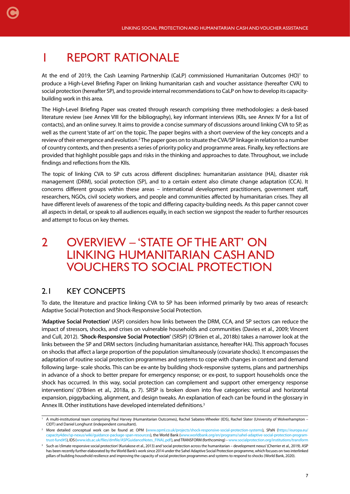## <span id="page-6-0"></span>1 REPORT RATIONALE

At the end of 2019, the Cash Learning Partnership (CaLP) commissioned Humanitarian Outcomes (HO)<sup>1</sup> to produce a High-Level Briefing Paper on linking humanitarian cash and voucher assistance (hereafter CVA) to social protection (hereafter SP), and to provide internal recommendations to CaLP on how to develop its capacitybuilding work in this area.

The High-Level Briefing Paper was created through research comprising three methodologies: a desk-based literature review (see Annex VIII for the bibliography), key informant interviews (KIIs, see Annex IV for a list of contacts), and an online survey. It aims to provide a concise summary of discussions around linking CVA to SP, as well as the current 'state of art' on the topic. The paper begins with a short overview of the key concepts and a review of their emergence and evolution.<sup>2</sup> The paper goes on to situate the CVA/SP linkage in relation to a number of country contexts, and then presents a series of priority policy and programme areas. Finally, key reflections are provided that highlight possible gaps and risks in the thinking and approaches to date. Throughout, we include findings and reflections from the KIIs.

The topic of linking CVA to SP cuts across different disciplines: humanitarian assistance (HA), disaster risk management (DRM), social protection (SP), and to a certain extent also climate change adaptation (CCA). It concerns different groups within these areas – international development practitioners, government staff, researchers, NGOs, civil society workers, and people and communities affected by humanitarian crises. They all have different levels of awareness of the topic and differing capacity-building needs. As this paper cannot cover all aspects in detail, or speak to all audiences equally, in each section we signpost the reader to further resources and attempt to focus on key themes.

## 2 OVERVIEW – 'STATE OF THE ART' ON LINKING HUMANITARIAN CASH AND VOUCHERS TO SOCIAL PROTECTION

## 2.1 KEY CONCEPTS

To date, the literature and practice linking CVA to SP has been informed primarily by two areas of research: Adaptive Social Protection and Shock-Responsive Social Protection.

**'Adaptive Social Protection'** (ASP) considers how links between the DRM, CCA, and SP sectors can reduce the impact of stressors, shocks, and crises on vulnerable households and communities (Davies et al., 2009; Vincent and Cull, 2012). **'Shock-Responsive Social Protection'** (SRSP) (O'Brien et al., 2018b) takes a narrower look at the links between the SP and DRM sectors (including humanitarian assistance, hereafter HA). This approach 'focuses on shocks that affect a large proportion of the population simultaneously (covariate shocks). It encompasses the adaptation of routine social protection programmes and systems to cope with changes in context and demand following large- scale shocks. This can be ex-ante by building shock-responsive systems, plans and partnerships in advance of a shock to better prepare for emergency response; or ex-post, to support households once the shock has occurred. In this way, social protection can complement and support other emergency response interventions' (O'Brien et al., 2018a, p. 7). SRSP is broken down into five categories: vertical and horizontal expansion, piggybacking, alignment, and design tweaks. An explanation of each can be found in the glossary in Annex III. Other institutions have developed interrelated definitions.<sup>3</sup>

A multi-institutional team comprising Paul Harvey (Humanitarian Outcomes), Rachel Sabates-Wheeler (IDS), Rachel Slater (University of Wolverhampton – CIDT) and Daniel Longhurst (independent consultant).

<sup>&</sup>lt;sup>2</sup> More detailed conceptual work can be found at: OPM [\(www.opml.co.uk/projects/shock-responsive-social-protection-systems](https://www.opml.co.uk/projects/shock-responsive-social-protection-systems)), SPaN [\(https://europa.eu/](https://europa.eu/capacity4dev/sp-nexus/wiki/guidance-package-span-resources) [capacity4dev/sp-nexus/wiki/guidance-package-span-resources\)](https://europa.eu/capacity4dev/sp-nexus/wiki/guidance-package-span-resources), the World Bank (www.worldbank.org/en/programs/sahel-adaptive-social-protection-programtrust-fund#5), IDS [\(www.ids.ac.uk/files/dmfile/ASPGuidanceNotes\\_FINAL.pdf\)](http://www.ids.ac.uk/files/dmfile/ASPGuidanceNotes_FINAL.pdf), and TRANSFORM (forthcoming) – [www.socialprotection.org/institutions/transform](http://www.socialprotection.org/institutions/transform)

<sup>&</sup>lt;sup>3</sup> Such as 'climate responsive social protection' (Kuriakose et al., 2013) and 'social protection across the humanitarian – development nexus' (Cherrier et al., 2019). ASP has been recently further elaborated by the World Bank's work since 2014 under the Sahel Adaptive Social Protection programme, which focuses on two interlinked pillars of building household resilience and improving the capacity of social protection programmes and systems to respond to shocks (World Bank, 2020).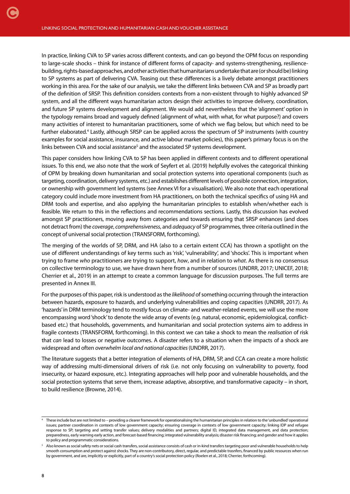In practice, linking CVA to SP varies across different contexts, and can go beyond the OPM focus on responding to large-scale shocks – think for instance of different forms of capacity- and systems-strengthening, resiliencebuilding, rights-based approaches, and other activities that humanitarians undertake that are (or should be) linking to SP systems as part of delivering CVA. Teasing out these differences is a lively debate amongst practitioners working in this area. For the sake of our analysis, we take the different links between CVA and SP as broadly part of the definition of SRSP. This definition considers contexts from a non-existent through to highly advanced SP system, and all the different ways humanitarian actors design their activities to improve delivery, coordination, and future SP systems development and alignment. We would add nevertheless that the 'alignment' option in the typology remains broad and vaguely defined (alignment of what, with what, for what purpose?) and covers many activities of interest to humanitarian practitioners, some of which we flag below, but which need to be further elaborated.<sup>4</sup> Lastly, although SRSP can be applied across the spectrum of SP instruments (with country examples for social assistance, insurance, and active labour market policies), this paper's primary focus is on the links between CVA and social assistance<sup>5</sup> and the associated SP systems development.

This paper considers how linking CVA to SP has been applied in different contexts and to different operational issues. To this end, we also note that the work of Seyfert et al. (2019) helpfully evolves the categorical thinking of OPM by breaking down humanitarian and social protection systems into operational components (such as targeting, coordination, delivery systems, etc.) and establishes different levels of possible connection, integration, or ownership with government led systems (see Annex VI for a visualisation). We also note that each operational category could include more investment from HA practitioners, on both the technical specifics of using HA and DRM tools and expertise, and also applying the humanitarian principles to establish when/whether each is feasible. We return to this in the reflections and recommendations sections. Lastly, this discussion has evolved amongst SP practitioners, moving away from categories and towards ensuring that SRSP enhances (and does not detract from) the *coverage*, *comprehensiveness*, and *adequacy* of SP programmes, three criteria outlined in the concept of universal social protection (TRANSFORM, forthcoming).

The merging of the worlds of SP, DRM, and HA (also to a certain extent CCA) has thrown a spotlight on the use of different understandings of key terms such as 'risk', 'vulnerability', and 'shocks'. This is important when trying to frame *who* practitioners are trying to support, *how*, and in relation to *what*. As there is no consensus on collective terminology to use, we have drawn here from a number of sources (UNDRR, 2017; UNICEF, 2018; Cherrier et al., 2019) in an attempt to create a common language for discussion purposes. The full terms are presented in Annex III.

For the purposes of this paper, risk is understood as the *likelihood* of something occurring through the interaction between hazards, exposure to hazards, and underlying vulnerabilities and coping capacities (UNDRR, 2017). As 'hazards' in DRM terminology tend to mostly focus on climate- and weather-related events, we will use the more encompassing word 'shock' to denote the wide array of events (e.g. natural, economic, epidemiological, conflictbased etc.) that households, governments, and humanitarian and social protection systems aim to address in fragile contexts (TRANSFORM, forthcoming). In this context we can take a shock to mean the *realisation* of risk that *can* lead to losses or negative outcomes. A disaster refers to a situation when the impacts of a shock are widespread and often *overwhelm local and national capacities* (UNDRR, 2017).

The literature suggests that a better integration of elements of HA, DRM, SP, and CCA can create a more holistic way of addressing multi-dimensional drivers of risk (i.e. not only focusing on vulnerability to poverty, food insecurity, or hazard exposure, etc.). Integrating approaches will help poor and vulnerable households, and the social protection systems that serve them, increase adaptive, absorptive, and transformative capacity – in short, to build resilience (Browne, 2014).

<sup>4</sup> These include but are not limited to – providing a clearer framework for operationalising the humanitarian principles in relation to the 'unbundled' operational issues; partner coordination in contexts of low government capacity; ensuring coverage in contexts of low government capacity; linking IDP and refugee response to SP; targeting and setting transfer values; delivery modalities and partners; digital ID, integrated data management, and data protection; preparedness, early warning early action, and forecast-based financing; integrated vulnerability analysis; disaster risk financing; and gender and how it applies to policy and programmatic considerations.

<sup>&</sup>lt;sup>5</sup> Also known as social safety nets or social cash transfers, social assistance consists of cash or in-kind transfers targeting poor and vulnerable households to help smooth consumption and protect against shocks. They are non-contributory, direct, regular, and predictable trasnfers, financed by public resources when run by government, and are, implicitly or explicitly, part of a country's social protection policy (Roelen et al., 2018; Cherrier, forthcoming).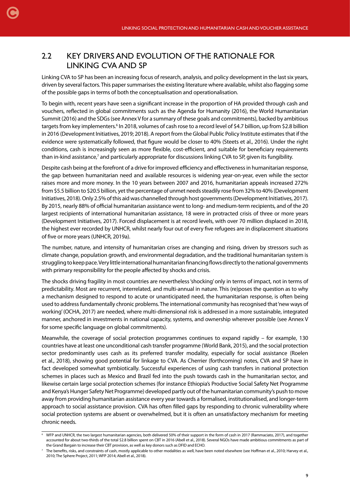### 2.2 KEY DRIVERS AND EVOLUTION OF THE RATIONALE FOR LINKING CVA AND SP

<span id="page-8-0"></span>[C](#page-1-0)

Linking CVA to SP has been an increasing focus of research, analysis, and policy development in the last six years, driven by several factors. This paper summarises the existing literature where available, whilst also flagging some of the possible gaps in terms of both the conceptualisation and operationalisation.

To begin with, recent years have seen a significant increase in the proportion of HA provided through cash and vouchers, reflected in global commitments such as the Agenda for Humanity (2016), the World Humanitarian Summit (2016) and the SDGs (see Annex V for a summary of these goals and commitments), backed by ambitious targets from key implementers.<sup>6</sup> In 2018, volumes of cash rose to a record level of \$4.7 billion, up from \$2.8 billion in 2016 (Development Initiatives, 2019; 2018). A report from the Global Public Policy Institute estimates that if the evidence were systematically followed, that figure would be closer to 40% (Steets et al., 2016). Under the right conditions, cash is increasingly seen as more flexible, cost-efficient, and suitable for beneficiary requirements than in-kind assistance,<sup>7</sup> and particularly appropriate for discussions linking CVA to SP, given its fungibility.

Despite cash being at the forefront of a drive for improved efficiency and effectiveness in humanitarian response, the gap between humanitarian need and available resources is widening year-on-year, even while the sector raises more and more money. In the 10 years between 2007 and 2016, humanitarian appeals increased 272% from \$5.5 billion to \$20.5 billion, yet the percentage of unmet needs steadily rose from 32% to 40% (Development Initiatives, 2018). Only 2.5% of this aid was channelled through host governments (Development Initiatives, 2017). By 2015, nearly 88% of official humanitarian assistance went to long- and medium-term recipients, and of the 20 largest recipients of international humanitarian assistance, 18 were in protracted crisis of three or more years (Development Initiatives, 2017). Forced displacement is at record levels, with over 70 million displaced in 2018, the highest ever recorded by UNHCR, whilst nearly four out of every five refugees are in displacement situations of five or more years (UNHCR, 2019a).

The number, nature, and intensity of humanitarian crises are changing and rising, driven by stressors such as climate change, population growth, and environmental degradation, and the traditional humanitarian system is struggling to keep pace. Very little international humanitarian financing flows directly to the national governments with primary responsibility for the people affected by shocks and crisis.

The shocks driving fragility in most countries are nevertheless 'shocking' only in terms of impact, not in terms of predictability. Most are recurrent, interrelated, and multi-annual in nature. This (re)poses the question as to why a mechanism designed to respond to acute or unanticipated need, the humanitarian response, is often being used to address fundamentally chronic problems. The international community has recognised that 'new ways of working' (OCHA, 2017) are needed, where multi-dimensional risk is addressed in a more sustainable, integrated manner, anchored in investments in national capacity, systems, and ownership wherever possible (see Annex V for some specific language on global commitments).

Meanwhile, the coverage of social protection programmes continues to expand rapidly – for example, 130 countries have at least one unconditional cash transfer programme (World Bank, 2015), and the social protection sector predominantly uses cash as its preferred transfer modality, especially for social assistance (Roelen et al., 2018), showing good potential for linkage to CVA. As Cherrier (forthcoming) notes, CVA and SP have in fact developed somewhat symbiotically. Successful experiences of using cash transfers in national protection schemes in places such as Mexico and Brazil fed into the push towards cash in the humanitarian sector, and likewise certain large social protection schemes (for instance Ethiopia's Productive Social Safety Net Programme and Kenya's Hunger Safety Net Programme) developed partly out of the humanitarian community's push to move away from providing humanitarian assistance every year towards a formalised, institutionalised, and longer-term approach to social assistance provision. CVA has often filled gaps by responding to chronic vulnerability where social protection systems are absent or overwhelmed, but it is often an unsatisfactory mechanism for meeting chronic needs.

<sup>6</sup> WFP and UNHCR, the two largest humanitarian agencies, both delivered 50% of their support in the form of cash in 2017 (Rammaciato, 2017), and together accounted for about two-thirds of the total \$2.8 billion spent on CBT in 2016 (Abell et al., 2018). Several NGOs have made ambitious commitments as part of the Grand Bargain to increase their CBT provision, as well as key donors such as DFID and ECHO.

<sup>&</sup>lt;sup>7</sup> The benefits, risks, and constraints of cash, mostly applicable to other modalities as well, have been noted elsewhere (see Hoffman et al., 2010; Harvey et al., 2010; The Sphere Project, 2011; WFP 2014; Abell et al., 2018).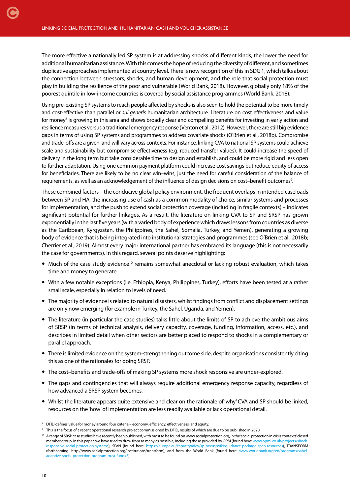The more effective a nationally led SP system is at addressing shocks of different kinds, the lower the need for additional humanitarian assistance. With this comes the hope of reducing the diversity of different, and sometimes duplicative approaches implemented at country level. There is now recognition of this in SDG 1, which talks about the connection between stressors, shocks, and human development, and the role that social protection must play in building the resilience of the poor and vulnerable (World Bank, 2018). However, globally only 18% of the poorest quintile in low-income countries is covered by social assistance programmes (World Bank, 2018).

Using pre-existing SP systems to reach people affected by shocks is also seen to hold the potential to be more timely and cost-effective than parallel or *sui generis* humanitarian architecture. Literature on cost effectiveness and value for money<sup>8</sup> is growing in this area and shows broadly clear and compelling benefits for investing in early action and resilience measures versus a traditional emergency response (Venton et al., 2012). However, there are still big evidence gaps in terms of using SP systems and programmes to address covariate shocks (O'Brien et al., 2018b). Compromise and trade-offs are a given, and will vary across contexts. For instance, linking CVA to national SP systems could achieve scale and sustainability but compromise effectiveness (e.g. reduced transfer values). It could increase the speed of delivery in the long term but take considerable time to design and establish, and could be more rigid and less open to further adaptation. Using one common payment platform could increase cost savings but reduce equity of access for beneficiaries. There are likely to be no clear win–wins, just the need for careful consideration of the balance of requirements, as well as an acknowledgement of the influence of design decisions on cost-benefit outcomes<sup>9</sup>.

These combined factors – the conducive global policy environment, the frequent overlaps in intended caseloads between SP and HA, the increasing use of cash as a common modality of choice, similar systems and processes for implementation, and the push to extend social protection coverage (including in fragile contexts) – indicates significant potential for further linkages. As a result, the literature on linking CVA to SP and SRSP has grown exponentially in the last five years (with a varied body of experience which draws lessons from countries as diverse as the Caribbean, Kyrgyzstan, the Philippines, the Sahel, Somalia, Turkey, and Yemen), generating a growing body of evidence that is being integrated into institutional strategies and programmes (see O'Brien et al., 2018b; Cherrier et al., 2019). Almost every major international partner has embraced its language (this is not necessarily the case for governments). In this regard, several points deserve highlighting:

- Much of the case study evidence<sup>10</sup> remains somewhat anecdotal or lacking robust evaluation, which takes time and money to generate.
- With a few notable exceptions (i.e. Ethiopia, Kenya, Philippines, Turkey), efforts have been tested at a rather small scale, especially in relation to levels of need.
- The majority of evidence is related to natural disasters, whilst findings from conflict and displacement settings are only now emerging (for example in Turkey, the Sahel, Uganda, and Yemen).
- The literature (in particular the case studies) talks little about the limits of SP to achieve the ambitious aims of SRSP (in terms of technical analysis, delivery capacity, coverage, funding, information, access, etc.), and describes in limited detail when other sectors are better placed to respond to shocks in a complementary or parallel approach.
- There is limited evidence on the system-strengthening outcome side, despite organisations consistently citing this as one of the rationales for doing SRSP.
- The cost–benefits and trade-offs of making SP systems more shock responsive are under-explored.
- The gaps and contingencies that will always require additional emergency response capacity, regardless of how advanced a SRSP system becomes.
- Whilst the literature appears quite extensive and clear on the rationale of 'why' CVA and SP should be linked, resources on the 'how' of implementation are less readily available or lack operational detail.

<sup>&</sup>lt;sup>8</sup> DFID defines value for money around four criteria – economy, efficiency, effectiveness, and equity.

<sup>9</sup> This is the focus of a recent operational research project commissioned by DFID, results of which are due to be published in 2020

<sup>&</sup>lt;sup>10</sup> A range of SRSP case studies have recently been published, with most to be found on www.socialprotection.org, in the 'social protection in crisis contexts' closed member group. In this paper, we have tried to draw from as many as possible, including those provided by OPM (found here: www.opml.co.uk/pro cial-protection-systems), SPaN (found here: <https://europa.eu/capacity4dev/sp-nexus/wiki/guidance-package-span-resources>), TRANSFORM (forthcoming: http://www.socialprotection.org/institutions/transform), and from the World Bank (found here: [www.worldbank.org/en/programs/sahel](https://www.worldbank.org/en/programs/sahel-adaptive-social-protection-program-trust-fund#5)[adaptive-social-protection-program-trust-fund#5\)](https://www.worldbank.org/en/programs/sahel-adaptive-social-protection-program-trust-fund#5).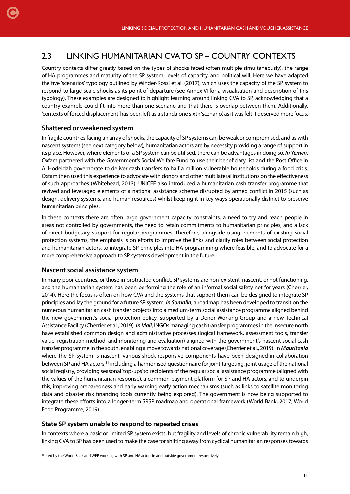## 2.3 LINKING HUMANITARIAN CVA TO SP – COUNTRY CONTEXTS

Country contexts differ greatly based on the types of shocks faced (often multiple simultaneously), the range of HA programmes and maturity of the SP system, levels of capacity, and political will. Here we have adapted the five 'scenarios' typology outlined by Winder-Rossi et al. (2017), which uses the capacity of the SP system to respond to large-scale shocks as its point of departure (see Annex VI for a visualisation and description of this typology). These examples are designed to highlight learning around linking CVA to SP, acknowledging that a country example could fit into more than one scenario and that there is overlap between them. Additionally, 'contexts of forced displacement' has been left as a standalone sixth 'scenario', as it was felt it deserved more focus.

#### **Shattered or weakened system**

<span id="page-10-0"></span>[C](#page-1-0)

In fragile countries facing an array of shocks, the capacity of SP systems can be weak or compromised, and as with nascent systems (see next category below), humanitarian actors are by necessity providing a range of support in its place. However, where elements of a SP system can be utilised, there can be advantages in doing so. *In Yemen*, Oxfam partnered with the Government's Social Welfare Fund to use their beneficiary list and the Post Office in Al Hodeidah governorate to deliver cash transfers to half a million vulnerable households during a food crisis. Oxfam then used this experience to advocate with donors and other multilateral institutions on the effectiveness of such approaches (Whitehead, 2013). UNICEF also introduced a humanitarian cash transfer programme that revived and leveraged elements of a national assistance scheme disrupted by armed conflict in 2015 (such as design, delivery systems, and human resources) whilst keeping it in key ways operationally distinct to preserve humanitarian principles.

In these contexts there are often large government capacity constraints, a need to try and reach people in areas not controlled by governments, the need to retain commitments to humanitarian principles, and a lack of direct budgetary support for regular programmes. Therefore, alongside using elements of existing social protection systems, the emphasis is on efforts to improve the links and clarify roles between social protection and humanitarian actors, to integrate SP principles into HA programming where feasible, and to advocate for a more comprehensive approach to SP systems development in the future.

#### **Nascent social assistance system**

In many poor countries, or those in protracted conflict, SP systems are non-existent, nascent, or not functioning, and the humanitarian system has been performing the role of an informal social safety net for years (Cherrier, 2014). Here the focus is often on how CVA and the systems that support them can be designed to integrate SP principles and lay the ground for a future SP system. *In Somalia*, a roadmap has been developed to transition the numerous humanitarian cash transfer projects into a medium-term social assistance programme aligned behind the new government's social protection policy, supported by a Donor Working Group and a new Technical Assistance Facility (Cherrier et al., 2019). *In Mali*, INGOs managing cash transfer programmes in the insecure north have established common design and administrative processes (logical framework, assessment tools, transfer value, registration method, and monitoring and evaluation) aligned with the government's nascent social cash transfer programme in the south, enabling a move towards national coverage (Cherrier et al., 2019). In *Mauritania*  where the SP system is nascent, various shock-responsive components have been designed in collaboration between SP and HA actors,11 including a harmonised questionnaire for joint targeting, joint usage of the national social registry, providing seasonal 'top-ups' to recipients of the regular social assistance programme (aligned with the values of the humanitarian response), a common payment platform for SP and HA actors, and to underpin this, improving preparedness and early warning early action mechanisms (such as links to satellite monitoring data and disaster risk financing tools currently being explored). The government is now being supported to integrate these efforts into a longer-term SRSP roadmap and operational framework (World Bank, 2017; World Food Programme, 2019).

#### **State SP system unable to respond to repeated crises**

In contexts where a basic or limited SP system exists, but fragility and levels of chronic vulnerability remain high, linking CVA to SP has been used to make the case for shifting away from cyclical humanitarian responses towards

<sup>&</sup>lt;sup>11</sup> Led by the World Bank and WFP working with SP and HA actors in and outside government respectively.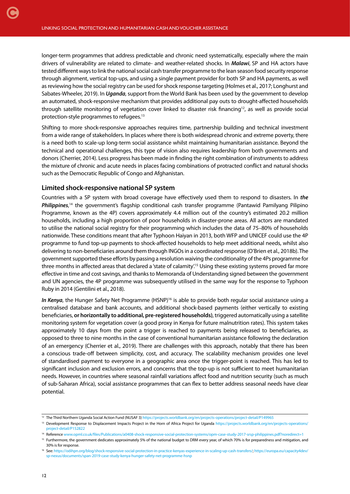longer-term programmes that address predictable and chronic need systematically, especially where the main drivers of vulnerability are related to climate- and weather-related shocks. In *Malawi*, SP and HA actors have tested different ways to link the national social cash transfer programme to the lean season food security response through alignment, vertical top-ups, and using a single payment provider for both SP and HA payments, as well as reviewing how the social registry can be used for shock response targeting (Holmes et al., 2017; Longhurst and Sabates-Wheeler, 2019). In *Uganda*, support from the World Bank has been used by the government to develop an automated, shock-responsive mechanism that provides additional pay outs to drought-affected households through satellite monitoring of vegetation cover linked to disaster risk financing<sup>12</sup>, as well as provide social protection-style programmes to refugees.13

Shifting to more shock-responsive approaches requires time, partnership building and technical investment from a wide range of stakeholders. In places where there is both widespread chronic and extreme poverty, there is a need both to scale-up long-term social assistance whilst maintaining humanitarian assistance. Beyond the technical and operational challenges, this type of vision also requires leadership from both governments and donors (Cherrier, 2014). Less progress has been made in finding the right combination of instruments to address the mixture of chronic and acute needs in places facing combinations of protracted conflict and natural shocks such as the Democratic Republic of Congo and Afghanistan.

#### **Limited shock-responsive national SP system**

Countries with a SP system with broad coverage have effectively used them to respond to disasters. In *the*  Philippines,<sup>14</sup> the government's flagship conditional cash transfer programme (Pantawid Pamilyang Pilipino Programme, known as the 4P) covers approximately 4.4 million out of the country's estimated 20.2 million households, including a high proportion of poor households in disaster-prone areas. All actors are mandated to utilise the national social registry for their programming which includes the data of 75–80% of households nationwide. These conditions meant that after Typhoon Haiyan in 2013, both WFP and UNICEF could use the 4P programme to fund top-up payments to shock-affected households to help meet additional needs, whilst also delivering to non-beneficiaries around them through INGOs in a coordinated response (O'Brien et al., 2018b). The government supported these efforts by passing a resolution waiving the conditionality of the 4Ps programme for three months in affected areas that declared a 'state of calamity'.15 Using these existing systems proved far more effective in time and cost savings, and thanks to Memoranda of Understanding signed between the government and UN agencies, the 4P programme was subsequently utilised in the same way for the response to Typhoon Ruby in 2014 (Gentilini et al., 2018).

*In Kenya*, the Hunger Safety Net Programme (HSNP)<sup>16</sup> is able to provide both regular social assistance using a centralised database and bank accounts, and additional shock-based payments (either vertically to existing beneficiaries, **or horizontally to additional, pre-registered households)**, triggered automatically using a satellite monitoring system for vegetation cover (a good proxy in Kenya for future malnutrition rates). This system takes approximately 10 days from the point a trigger is reached to payments being released to beneficiaries, as opposed to three to nine months in the case of conventional humanitarian assistance following the declaration of an emergency (Cherrier et al., 2019). There are challenges with this approach, notably that there has been a conscious trade-off between simplicity, cost, and accuracy. The scalability mechanism provides one level of standardised payment to everyone in a geographic area once the trigger-point is reached. This has led to significant inclusion and exclusion errors, and concerns that the top-up is not sufficient to meet humanitarian needs. However, in countries where seasonal rainfall variations affect food and nutrition security (such as much of sub-Saharan Africa), social assistance programmes that can flex to better address seasonal needs have clear potential.

<sup>&</sup>lt;sup>12</sup> The Third Northern Uganda Social Action Fund (NUSAF 3) <https://projects.worldbank.org/en/projects-operations/project-detail/P149965>

<sup>&</sup>lt;sup>13</sup> Development Response to Displacement Impacts Project in the Horn of Africa Project for Uganda [https://projects.worldbank.org/en/projects-operations/](https://projects.worldbank.org/en/projects-operations/project-detail/P152822) [project-detail/P152822](https://projects.worldbank.org/en/projects-operations/project-detail/P152822)

<sup>14</sup> Reference [www.opml.co.uk/files/Publications/a0408-shock-responsive-social-protection-systems/opm-case-study-2017-srsp-philippines.pdf?noredirect=1](https://www.opml.co.uk/files/Publications/a0408-shock-responsive-social-protection-systems/opm-case-study-2017-srsp-philippines.pdf?noredirect=1)

<sup>&</sup>lt;sup>15</sup> Furthermore, the government dedicates approximately 5% of the national budget to DRM every year, of which 70% is for preparedness and mitigation, and 30% is for response.

<sup>16</sup> See: [https://odihpn.org/blog/shock-responsive-social-protection-in-practice-kenyas-experience-in-scaling-up-cash-transfers/;](https://odihpn.org/blog/shock-responsive-social-protection-in-practice-kenyas-experience-in-scaling-up-cash-transfers/) [https://europa.eu/capacity4dev/](https://europa.eu/capacity4dev/sp-nexus/documents/span-2019-case-study-kenya-hunger-safety-net-programme-hsnp) [sp-nexus/documents/span-2019-case-study-kenya-hunger-safety-net-programme-hsnp](https://europa.eu/capacity4dev/sp-nexus/documents/span-2019-case-study-kenya-hunger-safety-net-programme-hsnp)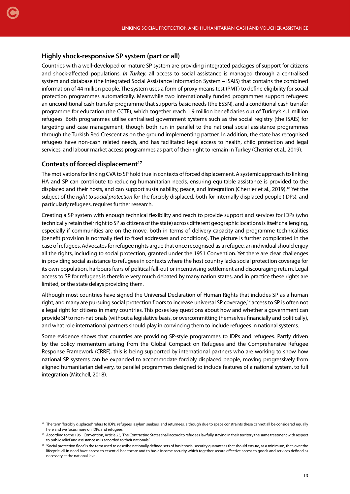#### **Highly shock-responsive SP system (part or all)**

[C](#page-1-0)

Countries with a well-developed or mature SP system are providing integrated packages of support for citizens and shock-affected populations. *In Turkey*, all access to social assistance is managed through a centralised system and database (the Integrated Social Assistance Information System – ISAIS) that contains the combined information of 44 million people. The system uses a form of proxy means test (PMT) to define eligibility for social protection programmes automatically. Meanwhile two internationally funded programmes support refugees: an unconditional cash transfer programme that supports basic needs (the ESSN), and a conditional cash transfer programme for education (the CCTE), which together reach 1.9 million beneficiaries out of Turkey's 4.1 million refugees. Both programmes utilise centralised government systems such as the social registry (the ISAIS) for targeting and case management, though both run in parallel to the national social assistance programmes through the Turkish Red Crescent as on the ground implementing partner. In addition, the state has recognised refugees have non-cash related needs, and has facilitated legal access to health, child protection and legal services, and labour market access programmes as part of their right to remain in Turkey (Cherrier et al., 2019).

#### Contexts of forced displacement<sup>17</sup>

The motivations for linking CVA to SP hold true in contexts of forced displacement. A systemic approach to linking HA and SP can contribute to reducing humanitarian needs, ensuring equitable assistance is provided to the displaced and their hosts, and can support sustainability, peace, and integration (Cherrier et al., 2019).<sup>18</sup> Yet the subject of the *right to social protection* for the forcibly displaced, both for internally displaced people (IDPs), and particularly refugees, requires further research.

Creating a SP system with enough technical flexibility and reach to provide support and services for IDPs (who technically retain their right to SP as citizens of the state) across different geographic locations is itself challenging, especially if communities are on the move, both in terms of delivery capacity and programme technicalities (benefit provision is normally tied to fixed addresses and conditions). The picture is further complicated in the case of refugees. Advocates for refugee rights argue that once recognised as a refugee, an individual should enjoy all the rights, including to social protection, granted under the 1951 Convention. Yet there are clear challenges in providing social assistance to refugees in contexts where the host country lacks social protection coverage for its own population, harbours fears of political fall-out or incentivising settlement and discouraging return. Legal access to SP for refugees is therefore very much debated by many nation states, and in practice these rights are limited, or the state delays providing them.

Although most countries have signed the Universal Declaration of Human Rights that includes SP as a human right, and many are pursuing social protection floors to increase universal SP coverage,<sup>19</sup> access to SP is often not a legal right for citizens in many countries. This poses key questions about how and whether a government can provide SP to non-nationals (without a legislative basis, or overcommitting themselves financially and politically), and what role international partners should play in convincing them to include refugees in national systems.

Some evidence shows that countries are providing SP-style programmes to IDPs and refugees. Partly driven by the policy momentum arising from the Global Compact on Refugees and the Comprehensive Refugee Response Framework (CRRF), this is being supported by international partners who are working to show how national SP systems can be expanded to accommodate forcibly displaced people, moving progressively from aligned humanitarian delivery, to parallel programmes designed to include features of a national system, to full integration (Mitchell, 2018).

<sup>&</sup>lt;sup>17</sup> The term 'forcibly displaced' refers to IDPs, refugees, asylum seekers, and returnees, although due to space constraints these cannot all be considered equally here and we focus more on IDPs and refugees.

<sup>&</sup>lt;sup>18</sup> According to the 1951 Convention, Article 23, 'The Contracting States shall accord to refugees lawfully staying in their territory the same treatment with respect to public relief and assistance as is accorded to their nationals.'

<sup>&</sup>lt;sup>19</sup> 'Social protection floor' is the term used to describe nationally defined sets of basic social security guarantees that should ensure, as a minimum, that, over the lifecycle, all in need have access to essential healthcare and to basic income security which together secure effective access to goods and services defined as necessary at the national level.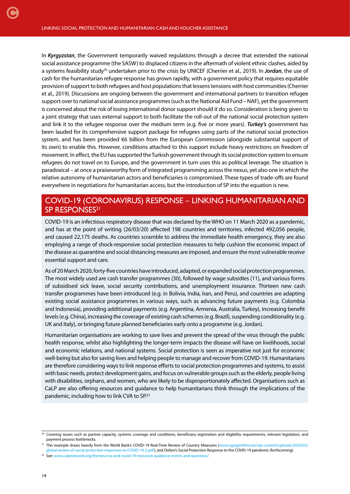[C](#page-1-0)

In *Kyrgyzstan*, the Government temporarily waived regulations through a decree that extended the national social assistance programme (the SASW) to displaced citizens in the aftermath of violent ethnic clashes, aided by a systems feasibility study<sup>20</sup> undertaken prior to the crisis by UNICEF (Cherrier et al., 2019). In *Jordan*, the use of cash for the humanitarian refugee response has grown rapidly, with a government policy that requires equitable provision of support to both refugees and host populations that lessens tensions with host communities (Cherrier et al., 2019). Discussions are ongoing between the government and international partners to transition refugee support over to national social assistance programmes (such as the National Aid Fund – NAF), yet the government is concerned about the risk of losing international donor support should it do so. Consideration is being given to a joint strategy that uses external support to both facilitate the roll-out of the national social protection system and link it to the refugee response over the medium term (e.g. five or more years). *Turkey's* government has been lauded for its comprehensive support package for refugees using parts of the national social protection system, and has been provided €6 billion from the European Commission (alongside substantial support of its own) to enable this. However, conditions attached to this support include heavy restrictions on freedom of movement. In effect, the EU has supported the Turkish government through its social protection system to ensure refugees do not travel on to Europe, and the government in turn uses this as political leverage. The situation is paradoxical – at once a praiseworthy form of integrated programming across the nexus, yet also one in which the relative autonomy of humanitarian actors and beneficiaries is compromised. These types of trade-offs are found everywhere in negotiations for humanitarian access, but the introduction of SP into the equation is new.

### COVID-19 (CORONAVIRUS) RESPONSE – LINKING HUMANITARIAN AND SP RESPONSES<sup>21</sup>

COVID-19 is an infectious respiratory disease that was declared by the WHO on 11 March 2020 as a pandemic, and has at the point of writing (26/03/20) affected 198 countries and territories, infected 492,056 people, and caused 22,175 deaths. As countries scramble to address the immediate health emergency, they are also employing a range of shock-responsive social protection measures to help cushion the economic impact of the disease as quarantine and social distancing measures are imposed, and ensure the most vulnerable receive essential support and care.

As of 20 March 2020, forty-five countries have introduced, adapted, or expanded social protection programmes. The most widely used are cash transfer programmes (30), followed by wage subsidies (11), and various forms of subsidised sick leave, social security contributions, and unemployment insurance. Thirteen new cash transfer programmes have been introduced (e.g. in Bolivia, India, Iran, and Peru), and countries are adapting existing social assistance programmes in various ways, such as advancing future payments (e.g. Colombia and Indonesia), providing additional payments (e.g. Argentina, Armenia, Australia, Turkey), increasing benefit levels (e.g. China), increasing the coverage of existing cash schemes (e.g. Brazil), suspending conditionality (e.g. UK and Italy), or bringing future planned beneficiaries early onto a programme (e.g. Jordan).

Humanitarian organisations are working to save lives and prevent the spread of the virus through the public health response, whilst also highlighting the longer-term impacts the disease will have on livelihoods, social and economic relations, and national systems. Social protection is seen as imperative not just for economic well-being but also for saving lives and helping people to manage and recover from COVID-19. Humanitarians are therefore considering ways to link response efforts to social protection programmes and systems, to assist with basic needs, protect development gains, and focus on vulnerable groups such as the elderly, people living with disabilities, orphans, and women, who are likely to be disproportionately affected. Organisations such as CaLP are also offering resources and guidance to help humanitarians think through the implications of the pandemic, including how to link CVA to SP.22

<sup>&</sup>lt;sup>20</sup> Covering issues such as partner capacity, systems coverage and conditions, beneficiary registration and eligibility requirements, relevant legislation, and payment process bottlenecks.

<sup>21</sup> This example draws heavily from the World Bank's COVID-19 Real-Time Review of Country Measures ([www.ugogentilini.net/wp-content/uploads/2020/03/](http://www.ugogentilini.net/wp-content/uploads/2020/03/global-review-of-social-protection-responses-to-COVID-19-2.pdf) [global-review-of-social-protection-responses-to-COVID-19-2.pdf](http://www.ugogentilini.net/wp-content/uploads/2020/03/global-review-of-social-protection-responses-to-COVID-19-2.pdf)), and Oxfam's Social Protection Response to the COVID-19 pandemic (forthcoming).

<sup>22</sup> See: [www.calpnetwork.org/themes/cva-and-covid-19-resources-guidance-events-and-questions/](https://www.calpnetwork.org/themes/cva-and-covid-19-resources-guidance-events-and-questions/)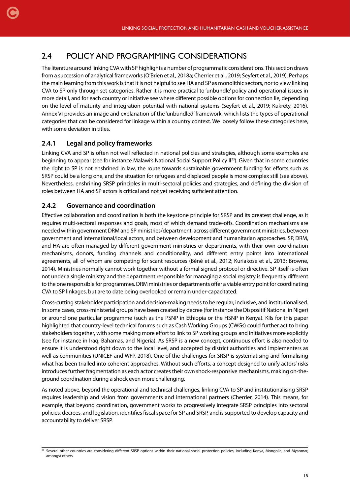## 2.4 POLICY AND PROGRAMMING CONSIDERATIONS

The literature around linking CVA with SP highlights a number of programmatic considerations. This section draws from a succession of analytical frameworks (O'Brien et al., 2018a; Cherrier et al., 2019; Seyfert et al., 2019). Perhaps the main learning from this work is that it is not helpful to see HA and SP as monolithic sectors, nor to view linking CVA to SP only through set categories. Rather it is more practical to 'unbundle' policy and operational issues in more detail, and for each country or initiative see where different possible options for connection lie, depending on the level of maturity and integration potential with national systems (Seyfert et al., 2019; Kukrety, 2016). Annex VI provides an image and explanation of the 'unbundled' framework, which lists the types of operational categories that can be considered for linkage within a country context. We loosely follow these categories here, with some deviation in titles.

#### **2.4.1 Legal and policy frameworks**

<span id="page-14-0"></span>[C](#page-1-0)

Linking CVA and SP is often not well reflected in national policies and strategies, although some examples are beginning to appear (see for instance Malawi's National Social Support Policy II23). Given that in some countries the right to SP is not enshrined in law, the route towards sustainable government funding for efforts such as SRSP could be a long one, and the situation for refugees and displaced people is more complex still (see above). Nevertheless, enshrining SRSP principles in multi-sectoral policies and strategies, and defining the division of roles between HA and SP actors is critical and not yet receiving sufficient attention.

#### **2.4.2 Governance and coordination**

Effective collaboration and coordination is both the keystone principle for SRSP and its greatest challenge, as it requires multi-sectoral responses and goals, most of which demand trade-offs. Coordination mechanisms are needed within government DRM and SP ministries/department, across different government ministries, between government and international/local actors, and between development and humanitarian approaches. SP, DRM, and HA are often managed by different government ministries or departments, with their own coordination mechanisms, donors, funding channels and conditionality, and different entry points into international agreements, all of whom are competing for scant resources (Béné et al., 2012; Kuriakose et al., 2013; Browne, 2014). Ministries normally cannot work together without a formal signed protocol or directive. SP itself is often not under a single ministry and the department responsible for managing a social registry is frequently different to the one responsible for programmes. DRM ministries or departments offer a viable entry point for coordinating CVA to SP linkages, but are to date being overlooked or remain under-capacitated.

Cross-cutting stakeholder participation and decision-making needs to be regular, inclusive, and institutionalised. In some cases, cross-ministerial groups have been created by decree (for instance the Dispositif National in Niger) or around one particular programme (such as the PSNP in Ethiopia or the HSNP in Kenya). KIIs for this paper highlighted that country-level technical forums such as Cash Working Groups (CWGs) could further act to bring stakeholders together, with some making more effort to link to SP working groups and initiatives more explicitly (see for instance in Iraq, Bahamas, and Nigeria). As SRSP is a new concept, continuous effort is also needed to ensure it is understood right down to the local level, and accepted by district authorities and implementers as well as communities (UNICEF and WFP, 2018). One of the challenges for SRSP is systematising and formalising what has been trialled into coherent approaches. Without such efforts, a concept designed to unify actors' risks introduces further fragmentation as each actor creates their own shock-responsive mechanisms, making on-theground coordination during a shock even more challenging.

As noted above, beyond the operational and technical challenges, linking CVA to SP and institutionalising SRSP requires leadership and vision from governments and international partners (Cherrier, 2014). This means, for example, that beyond coordination, government works to progressively integrate SRSP principles into sectoral policies, decrees, and legislation, identifies fiscal space for SP and SRSP, and is supported to develop capacity and accountability to deliver SRSP.

<sup>&</sup>lt;sup>23</sup> Several other countries are considering different SRSP options within their national social protection policies, including Kenya, Mongolia, and Myanmar, amongst others.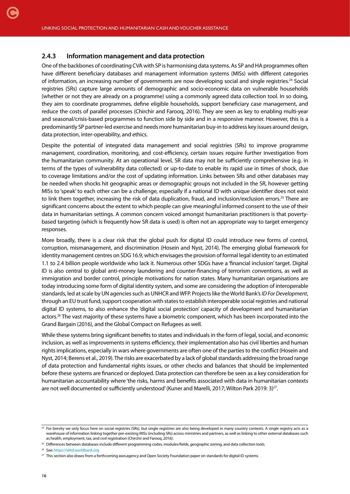#### **2.4.3 Information management and data protection**

<span id="page-15-0"></span>[C](#page-1-0)

One of the backbones of coordinating CVA with SP is harmonising data systems. As SP and HA programmes often have different beneficiary databases and management information systems (MISs) with different categories of information, an increasing number of governments are now developing social and single registries.24 Social registries (SRs) capture large amounts of demographic and socio-economic data on vulnerable households (whether or not they are already on a programme) using a commonly agreed data collection tool. In so doing, they aim to coordinate programmes, define eligible households, support beneficiary case management, and reduce the costs of parallel processes (Chirchir and Farooq, 2016). They are seen as key to enabling multi-year and seasonal/crisis-based programmes to function side by side and in a responsive manner. However, this is a predominantly SP partner-led exercise and needs more humanitarian buy-in to address key issues around design, data protection, inter-operability, and ethics.

Despite the potential of integrated data management and social registries (SRs) to improve programme management, coordination, monitoring, and cost-efficiency, certain issues require further investigation from the humanitarian community. At an operational level, SR data may not be sufficiently comprehensive (e.g. in terms of the types of vulnerability data collected) or up-to-date to enable its rapid use in times of shock, due to coverage limitations and/or the cost of updating information. Links between SRs and other databases may be needed when shocks hit geographic areas or demographic groups not included in the SR, however getting MISs to 'speak' to each other can be a challenge, especially if a national ID with unique identifier does not exist to link them together, increasing the risk of data duplication, fraud, and inclusion/exclusion errors.<sup>25</sup> There are significant concerns about the extent to which people can give meaningful informed consent to the use of their data in humanitarian settings. A common concern voiced amongst humanitarian practitioners is that povertybased targeting (which is frequently how SR data is used) is often not an appropriate way to target emergency responses.

More broadly, there is a clear risk that the global push for digital ID could introduce new forms of control, corruption, mismanagement, and discrimination (Hosein and Nyst, 2014). The emerging global framework for identity management centres on SDG 16.9, which envisages the provision of formal legal identity to an estimated 1.1 to 2.4 billion people worldwide who lack it. Numerous other SDGs have a 'financial inclusion' target. Digital ID is also central to global anti-money laundering and counter-financing of terrorism conventions, as well as immigration and border control, principle motivations for nation states. Many humanitarian organisations are today introducing some form of digital identity system, and some are considering the adoption of interoperable standards, led at scale by UN agencies such as UNHCR and WFP. Projects like the World Bank's *ID For Development*, through an EU trust fund, support cooperation with states to establish interoperable social registries and national digital ID systems, to also enhance the 'digital social protection' capacity of development and humanitarian actors.<sup>26</sup> The vast majority of these systems have a biometric component, which has been incorporated into the Grand Bargain (2016), and the Global Compact on Refugees as well.

While these systems bring significant benefits to states and individuals in the form of legal, social, and economic inclusion, as well as improvements in systems efficiency, their implementation also has civil liberties and human rights implications, especially in wars where governments are often one of the parties to the conflict (Hosein and Nyst, 2014; Berens et al., 2019). The risks are exacerbated by a lack of global standards addressing the broad range of data protection and fundamental rights issues, or other checks and balances that should be implemented before these systems are financed or deployed. Data protection can therefore be seen as a key consideration for humanitarian accountability where 'the risks, harms and benefits associated with data in humanitarian contexts are not well documented or sufficiently understood' (Kuner and Marelli, 2017; Wilton Park 2019: 3)<sup>27</sup>.

<sup>&</sup>lt;sup>24</sup> For brevity we only focus here on social registries (SRs), but single registries are also being developed in many country contexts. A single registry acts as a warehouse of information linking together pre-existing MISs (including SRs) across ministries and partners, as well as linking to other external databases such as health, employment, tax, and civil registration (Chirchir and Farooq, 2016).

<sup>&</sup>lt;sup>25</sup> Differences between databases include different programming codes, modules/fields, geographic zoning, and data collection tools.

<sup>26</sup> See: <https://id4d.worldbank.org>

<sup>&</sup>lt;sup>27</sup> This section also draws from a forthcoming awo.agency and Open Society Foundation paper on standards for digital ID systems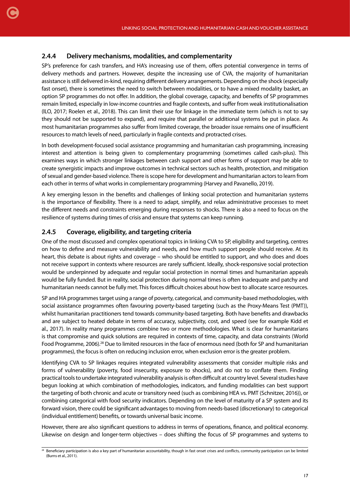#### **2.4.4 Delivery mechanisms, modalities, and complementarity**

<span id="page-16-0"></span>[C](#page-1-0)

SP's preference for cash transfers, and HA's increasing use of them, offers potential convergence in terms of delivery methods and partners. However, despite the increasing use of CVA, the majority of humanitarian assistance is still delivered in-kind, requiring different delivery arrangements. Depending on the shock (especially fast onset), there is sometimes the need to switch between modalities, or to have a mixed modality basket, an option SP programmes do not offer. In addition, the global coverage, capacity, and benefits of SP programmes remain limited, especially in low-income countries and fragile contexts, and suffer from weak institutionalisation (ILO, 2017; Roelen et al., 2018). This can limit their use for linkage in the immediate term (which is not to say they should not be supported to expand), and require that parallel or additional systems be put in place. As most humanitarian programmes also suffer from limited coverage, the broader issue remains one of insufficient resources to match levels of need, particularly in fragile contexts and protracted crises.

In both development-focused social assistance programming and humanitarian cash programming, increasing interest and attention is being given to complementary programming (sometimes called cash-plus). This examines ways in which stronger linkages between cash support and other forms of support may be able to create synergistic impacts and improve outcomes in technical sectors such as health, protection, and mitigation of sexual and gender-based violence. There is scope here for development and humanitarian actors to learn from each other in terms of what works in complementary programming (Harvey and Pavanello, 2019).

A key emerging lesson in the benefits and challenges of linking social protection and humanitarian systems is the importance of flexibility. There is a need to adapt, simplify, and relax administrative processes to meet the different needs and constraints emerging during responses to shocks. There is also a need to focus on the resilience of systems during times of crisis and ensure that systems can keep running.

#### **2.4.5 Coverage, eligibility, and targeting criteria**

One of the most discussed and complex operational topics in linking CVA to SP, eligibility and targeting, centres on how to define and measure vulnerability and needs, and how much support people should receive. At its heart, this debate is about rights and coverage – who should be entitled to support, and who does and does not receive support in contexts where resources are rarely sufficient. Ideally, shock-responsive social protection would be underpinned by adequate and regular social protection in normal times and humanitarian appeals would be fully funded. But in reality, social protection during normal times is often inadequate and patchy and humanitarian needs cannot be fully met. This forces difficult choices about how best to allocate scarce resources.

SP and HA programmes target using a range of poverty, categorical, and community-based methodologies, with social assistance programmes often favouring poverty-based targeting (such as the Proxy-Means Test (PMT)), whilst humanitarian practitioners tend towards community-based targeting. Both have benefits and drawbacks and are subject to heated debate in terms of accuracy, subjectivity, cost, and speed (see for example Kidd et al., 2017). In reality many programmes combine two or more methodologies. What is clear for humanitarians is that compromise and quick solutions are required in contexts of time, capacity, and data constraints (World Food Programme, 2006).28 Due to limited resources in the face of enormous need (both for SP and humanitarian programmes), the focus is often on reducing inclusion error, when exclusion error is the greater problem.

Identifying CVA to SP linkages requires integrated vulnerability assessments that consider multiple risks and forms of vulnerability (poverty, food insecurity, exposure to shocks), and do not to conflate them. Finding practical tools to undertake integrated vulnerability analysis is often difficult at country level. Several studies have begun looking at which combination of methodologies, indicators, and funding modalities can best support the targeting of both chronic and acute or transitory need (such as combining HEA vs. PMT (Schnitzer, 2016)), or combining categorical with food security indicators. Depending on the level of maturity of a SP system and its forward vision, there could be significant advantages to moving from needs-based (discretionary) to categorical (individual entitlement) benefits, or towards universal basic income.

However, there are also significant questions to address in terms of operations, finance, and political economy. Likewise on design and longer-term objectives – does shifting the focus of SP programmes and systems to

<sup>&</sup>lt;sup>28</sup> Beneficiary participation is also a key part of humanitarian accountability, though in fast onset crises and conflicts, community participation can be limited (Burns et al., 2011).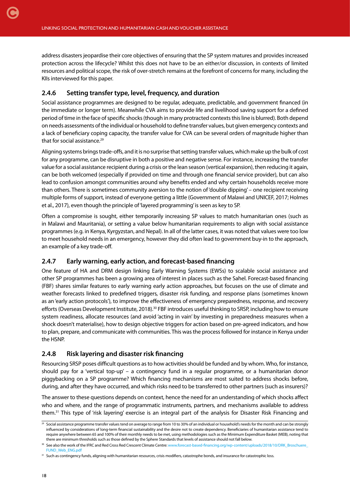<span id="page-17-0"></span>[C](#page-1-0)

address disasters jeopardise their core objectives of ensuring that the SP system matures and provides increased protection across the lifecycle? Whilst this does not have to be an either/or discussion, in contexts of limited resources and political scope, the risk of over-stretch remains at the forefront of concerns for many, including the KIIs interviewed for this paper.

#### **2.4.6 Setting transfer type, level, frequency, and duration**

Social assistance programmes are designed to be regular, adequate, predictable, and government financed (in the immediate or longer term). Meanwhile CVA aims to provide life and livelihood saving support for a defined period of time in the face of specific shocks (though in many protracted contexts this line is blurred). Both depend on needs assessments of the individual or household to define transfer values, but given emergency contexts and a lack of beneficiary coping capacity, the transfer value for CVA can be several orders of magnitude higher than that for social assistance.<sup>29</sup>

Aligning systems brings trade-offs, and it is no surprise that setting transfer values, which make up the bulk of cost for any programme, can be disruptive in both a positive and negative sense. For instance, increasing the transfer value for a social assistance recipient during a crisis or the lean season (vertical expansion), then reducing it again, can be both welcomed (especially if provided on time and through one financial service provider), but can also lead to confusion amongst communities around why benefits ended and why certain households receive more than others. There is sometimes community aversion to the notion of 'double dipping' – one recipient receiving multiple forms of support, instead of everyone getting a little (Government of Malawi and UNICEF, 2017; Holmes et al., 2017), even though the principle of 'layered programming' is seen as key to SP.

Often a compromise is sought, either temporarily increasing SP values to match humanitarian ones (such as in Malawi and Mauritania), or setting a value below humanitarian requirements to align with social assistance programmes (e.g. in Kenya, Kyrgyzstan, and Nepal). In all of the latter cases, it was noted that values were too low to meet household needs in an emergency, however they did often lead to government buy-in to the approach, an example of a key trade-off.

#### **2.4.7 Early warning, early action, and forecast-based financing**

One feature of HA and DRM design linking Early Warning Systems (EWSs) to scalable social assistance and other SP programmes has been a growing area of interest in places such as the Sahel. Forecast-based financing (FBF) shares similar features to early warning early action approaches, but focuses on the use of climate and weather forecasts linked to predefined triggers, disaster risk funding, and response plans (sometimes known as an 'early action protocols'), to improve the effectiveness of emergency preparedness, response, and recovery efforts (Overseas Development Institute, 2018).<sup>30</sup> FBF introduces useful thinking to SRSP, including how to ensure system readiness, allocate resources (and avoid 'acting in vain' by investing in preparedness measures when a shock doesn't materialise), how to design objective triggers for action based on pre-agreed indicators, and how to plan, prepare, and communicate with communities. This was the process followed for instance in Kenya under the HSNP.

#### **2.4.8 Risk layering and disaster risk financing**

Resourcing SRSP poses difficult questions as to how activities should be funded and by whom. Who, for instance, should pay for a 'vertical top-up' – a contingency fund in a regular programme, or a humanitarian donor piggybacking on a SP programme? Which financing mechanisms are most suited to address shocks before, during, and after they have occurred, and which risks need to be transferred to other partners (such as insurers)?

The answer to these questions depends on context, hence the need for an understanding of which shocks affect who and where, and the range of programmatic instruments, partners, and mechanisms available to address them.31 This type of 'risk layering' exercise is an integral part of the analysis for Disaster Risk Financing and

<sup>&</sup>lt;sup>29</sup> Social assistance programme transfer values tend on average to range from 10 to 30% of an individual or household's needs for the month and can be strongly influenced by considerations of long-term financial sustainability and the desire not to create dependency. Beneficiaries of humanitarian assistance tend to require anywhere between 65 and 100% of their monthly needs to be met, using methodologies such as the Minimum Expenditure Basket (MEB), noting that there are minimum thresholds such as those defined by the Sphere Standards that levels of assistance should not fall below.

<sup>&</sup>lt;sup>30</sup> See also the work of the IFRC and Red Cross Red Crescent Climate Centre: [www.forecast-based-financing.org/wp-content/uploads/2018/10/DRK\\_Broschuere\\_](https://www.forecast-based-financing.org/wp-content/uploads/2018/10/DRK_Broschuere_FUND_Web_ENG.pdf) FUND Web ENG.pdf

<sup>&</sup>lt;sup>31</sup> Such as contingency funds, aligning with humanitarian resources, crisis modifiers, catastrophe bonds, and insurance for catastrophic loss.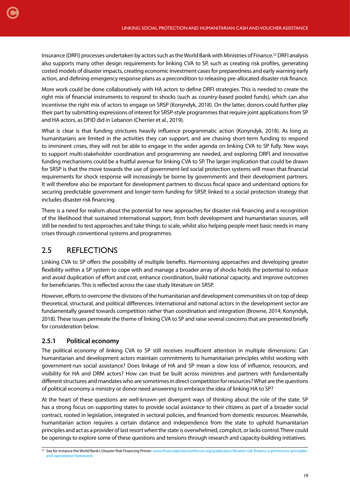<span id="page-18-0"></span>Insurance (DRFI) processes undertaken by actors such as the World Bank with Ministries of Finance.32 DRFI analysis also supports many other design requirements for linking CVA to SP, such as creating risk profiles, generating costed models of disaster impacts, creating economic investment cases for preparedness and early warning early action, and defining emergency response plans as a precondition to releasing pre-allocated disaster risk finance.

More work could be done collaboratively with HA actors to define DRFI strategies. This is needed to create the right mix of financial instruments to respond to shocks (such as country-based pooled funds), which can also incentivise the right mix of actors to engage on SRSP (Konyndyk, 2018). On the latter, donors could further play their part by submitting expressions of interest for SRSP-style programmes that require joint applications from SP and HA actors, as DFID did in Lebanon (Cherrier et al., 2019).

What is clear is that funding strictures heavily influence programmatic action (Konyndyk, 2018). As long as humanitarians are limited in the activities they can support, and are chasing short-term funding to respond to imminent crises, they will not be able to engage in the wider agenda on linking CVA to SP fully. New ways to support multi-stakeholder coordination and programming are needed, and exploring DRFI and innovative funding mechanisms could be a fruitful avenue for linking CVA to SP. The larger implication that could be drawn for SRSP is that the move towards the use of government-led social protection systems will mean that financial requirements for shock response will increasingly be borne by governments and their development partners. It will therefore also be important for development partners to discuss fiscal space and understand options for securing predictable government and longer-term funding for SRSP, linked to a social protection strategy that includes disaster risk financing.

There is a need for realism about the potential for new approaches for disaster risk financing and a recognition of the likelihood that sustained international support, from both development and humanitarian sources, will still be needed to test approaches and take things to scale, whilst also helping people meet basic needs in many crises through conventional systems and programmes.

## 2.5 REFLECTIONS

Linking CVA to SP offers the possibility of multiple benefits. Harmonising approaches and developing greater flexibility within a SP system to cope with and manage a broader array of shocks holds the potential to reduce and avoid duplication of effort and cost, enhance coordination, build national capacity, and improve outcomes for beneficiaries. This is reflected across the case study literature on SRSP.

However, efforts to overcome the divisions of the humanitarian and development communities sit on top of deep theoretical, structural, and political differences. International and national actors in the development sector are fundamentally geared towards competition rather than coordination and integration (Browne, 2014; Konyndyk, 2018). These issues permeate the theme of linking CVA to SP and raise several concerns that are presented briefly for consideration below.

#### **2.5.1 Political economy**

The political economy of linking CVA to SP still receives insufficient attention in multiple dimensions: Can humanitarian and development actors maintain commitments to humanitarian principles whilst working with government-run social assistance? Does linkage of HA and SP mean a slow loss of influence, resources, and visibility for HA and DRM actors? How can trust be built across ministries and partners with fundamentally different structures and mandates who are sometimes in direct competition for resources? What are the questions of political economy a ministry or donor need answering to embrace the idea of linking HA to SP?

At the heart of these questions are well-known yet divergent ways of thinking about the role of the state. SP has a strong focus on supporting states to provide social assistance to their citizens as part of a broader social contract, rooted in legislation, integrated in sectoral policies, and financed from domestic resources. Meanwhile, humanitarian action requires a certain distance and independence from the state to uphold humanitarian principles and act as a provider of last resort when the state is overwhelmed, complicit, or lacks control. There could be openings to explore some of these questions and tensions through research and capacity-building initiatives.

<sup>32</sup> See for instance the World Bank's Disaster Risk Financing Primer: [www.financialprotectionforum.org/publication/disaster-risk-finance-a-primercore-principles](https://www.financialprotectionforum.org/publication/disaster-risk-finance-a-primercore-principles-and-operational-framework)[and-operational-framework](https://www.financialprotectionforum.org/publication/disaster-risk-finance-a-primercore-principles-and-operational-framework)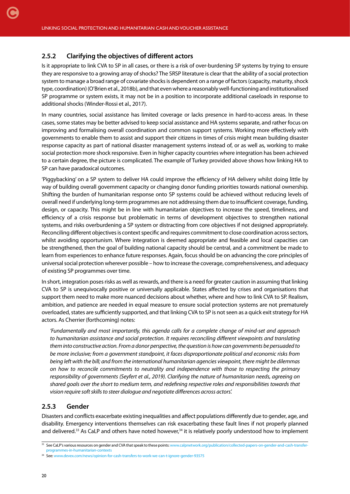#### **2.5.2 Clarifying the objectives of different actors**

<span id="page-19-0"></span>[C](#page-1-0)

Is it appropriate to link CVA to SP in all cases, or there is a risk of over-burdening SP systems by trying to ensure they are responsive to a growing array of shocks? The SRSP literature is clear that the ability of a social protection system to manage a broad range of covariate shocks is dependent on a range of factors (capacity, maturity, shock type, coordination) (O'Brien et al., 2018b), and that even where a reasonably well-functioning and institutionalised SP programme or system exists, it may not be in a position to incorporate additional caseloads in response to additional shocks (Winder-Rossi et al., 2017).

In many countries, social assistance has limited coverage or lacks presence in hard-to-access areas. In these cases, some states may be better advised to keep social assistance and HA systems separate, and rather focus on improving and formalising overall coordination and common support systems. Working more effectively with governments to enable them to assist and support their citizens in times of crisis might mean building disaster response capacity as part of national disaster management systems instead of, or as well as, working to make social protection more shock responsive. Even in higher capacity countries where integration has been achieved to a certain degree, the picture is complicated. The example of Turkey provided above shows how linking HA to SP can have paradoxical outcomes.

'Piggybacking' on a SP system to deliver HA could improve the efficiency of HA delivery whilst doing little by way of building overall government capacity or changing donor funding priorities towards national ownership. Shifting the burden of humanitarian response onto SP systems could be achieved without reducing levels of overall need if underlying long-term programmes are not addressing them due to insufficient coverage, funding, design, or capacity. This might be in line with humanitarian objectives to increase the speed, timeliness, and efficiency of a crisis response but problematic in terms of development objectives to strengthen national systems, and risks overburdening a SP system or distracting from core objectives if not designed appropriately. Reconciling different objectives is context specific and requires commitment to close coordination across sectors, whilst avoiding opportunism. Where integration is deemed appropriate and feasible and local capacities can be strengthened, then the goal of building national capacity should be central, and a commitment be made to learn from experiences to enhance future responses. Again, focus should be on advancing the core principles of universal social protection wherever possible – how to increase the coverage, comprehensiveness, and adequacy of existing SP programmes over time.

In short, integration poses risks as well as rewards, and there is a need for greater caution in assuming that linking CVA to SP is unequivocally positive or universally applicable. States affected by crises and organisations that support them need to make more nuanced decisions about whether, where and how to link CVA to SP. Realism, ambition, and patience are needed in equal measure to ensure social protection systems are not prematurely overloaded, states are sufficiently supported, and that linking CVA to SP is not seen as a quick exit strategy for HA actors. As Cherrier (forthcoming) notes:

*'Fundamentally and most importantly, this agenda calls for a complete change of mind-set and approach to humanitarian assistance and social protection. It requires reconciling different viewpoints and translating them into constructive action. From a donor perspective, the question is how can governments be persuaded to be more inclusive; from a government standpoint, it faces disproportionate political and economic risks from being left with the bill; and from the international humanitarian agencies viewpoint, there might be dilemmas on how to reconcile commitments to neutrality and independence with those to respecting the primary responsibility of governments (Seyfert et al., 2019). Clarifying the nature of humanitarian needs, agreeing on shared goals over the short to medium term, and redefining respective roles and responsibilities towards that vision require soft skills to steer dialogue and negotiate differences across actors'.*

#### **2.5.3 Gender**

Disasters and conflicts exacerbate existing inequalities and affect populations differently due to gender, age, and disability. Emergency interventions themselves can risk exacerbating these fault lines if not properly planned and delivered.<sup>33</sup> As CaLP and others have noted however,<sup>34</sup> it is relatively poorly understood how to implement

<sup>33</sup> See CaLP's various resources on gender and CVA that speak to these points: [www.calpnetwork.org/publication/collected-papers-on-gender-and-cash-transfer](https://www.calpnetwork.org/publication/collected-papers-on-gender-and-cash-transfer-programmes-in-h)[programmes-in-humanitarian-contexts](https://www.calpnetwork.org/publication/collected-papers-on-gender-and-cash-transfer-programmes-in-h)

<sup>34</sup> See: [www.devex.com/news/opinion-for-cash-transfers-to-work-we-can-t-ignore-gender-93575](https://www.devex.com/news/opinion-for-cash-transfers-to-work-we-can-t-ignore-gender-93575)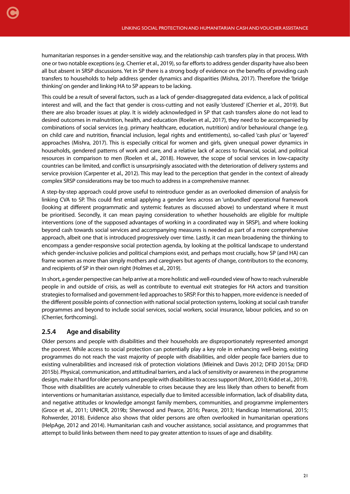<span id="page-20-0"></span>[C](#page-1-0)

humanitarian responses in a gender-sensitive way, and the relationship cash transfers play in that process. With one or two notable exceptions (e.g. Cherrier et al., 2019), so far efforts to address gender disparity have also been all but absent in SRSP discussions. Yet in SP there is a strong body of evidence on the benefits of providing cash transfers to households to help address gender dynamics and disparities (Mishra, 2017). Therefore the 'bridge thinking' on gender and linking HA to SP appears to be lacking.

This could be a result of several factors, such as a lack of gender-disaggregated data evidence, a lack of political interest and will, and the fact that gender is cross-cutting and not easily 'clustered' (Cherrier et al., 2019). But there are also broader issues at play. It is widely acknowledged in SP that cash transfers alone do not lead to desired outcomes in malnutrition, health, and education (Roelen et al., 2017), they need to be accompanied by combinations of social services (e.g. primary healthcare, education, nutrition) and/or behavioural change (e.g. on child care and nutrition, financial inclusion, legal rights and entitlements), so-called 'cash plus' or 'layered' approaches (Mishra, 2017). This is especially critical for women and girls, given unequal power dynamics in households, gendered patterns of work and care, and a relative lack of access to financial, social, and political resources in comparison to men (Roelen et al., 2018). However, the scope of social services in low-capacity countries can be limited, and conflict is unsurprisingly associated with the deterioration of delivery systems and service provision (Carpenter et al., 2012). This may lead to the perception that gender in the context of already complex SRSP considerations may be too much to address in a comprehensive manner.

A step-by-step approach could prove useful to reintroduce gender as an overlooked dimension of analysis for linking CVA to SP. This could first entail applying a gender lens across an 'unbundled' operational framework (looking at different programmatic and systemic features as discussed above) to understand where it must be prioritised. Secondly, it can mean paying consideration to whether households are eligible for multiple interventions (one of the supposed advantages of working in a coordinated way in SRSP), and where looking beyond cash towards social services and accompanying measures is needed as part of a more comprehensive approach, albeit one that is introduced progressively over time. Lastly, it can mean broadening the thinking to encompass a gender-responsive social protection agenda, by looking at the political landscape to understand which gender-inclusive policies and political champions exist, and perhaps most crucially, how SP (and HA) can frame women as more than simply mothers and caregivers but agents of change, contributors to the economy, and recipients of SP in their own right (Holmes et al., 2019).

In short, a gender perspective can help arrive at a more holistic and well-rounded view of how to reach vulnerable people in and outside of crisis, as well as contribute to eventual exit strategies for HA actors and transition strategies to formalised and government-led approaches to SRSP. For this to happen, more evidence is needed of the different possible points of connection with national social protection systems, looking at social cash transfer programmes and beyond to include social services, social workers, social insurance, labour policies, and so on (Cherrier, forthcoming).

#### **2.5.4 Age and disability**

Older persons and people with disabilities and their households are disproportionately represented amongst the poorest. While access to social protection can potentially play a key role in enhancing well-being, existing programmes do not reach the vast majority of people with disabilities, and older people face barriers due to existing vulnerabilities and increased risk of protection violations (Mleinek and Davis 2012; DFID 2015a; DFID 2015b). Physical, communication, and attitudinal barriers, and a lack of sensitivity or awareness in the programme design, make it hard for older persons and people with disabilities to access support (Mont, 2010; Kidd et al., 2019). Those with disabilities are acutely vulnerable to crises because they are less likely than others to benefit from interventions or humanitarian assistance, especially due to limited accessible information, lack of disability data, and negative attitudes or knowledge amongst family members, communities, and programme implementers (Groce et al., 2011; UNHCR, 2019b; Sherwood and Pearce, 2016; Pearce, 2013; Handicap International, 2015; Rohwerder, 2018). Evidence also shows that older persons are often overlooked in humanitarian operations (HelpAge, 2012 and 2014). Humanitarian cash and voucher assistance, social assistance, and programmes that attempt to build links between them need to pay greater attention to issues of age and disability.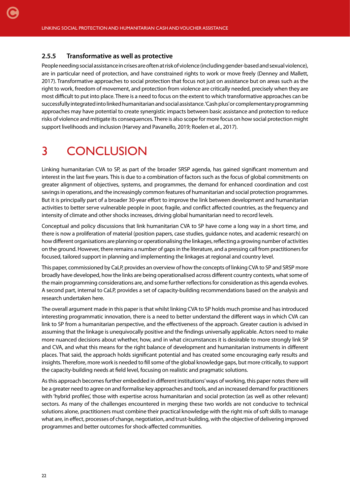#### **2.5.5 Transformative as well as protective**

<span id="page-21-0"></span>[C](#page-1-0)

People needing social assistance in crises are often at risk of violence (including gender-based and sexual violence), are in particular need of protection, and have constrained rights to work or move freely (Denney and Mallett, 2017). Transformative approaches to social protection that focus not just on assistance but on areas such as the right to work, freedom of movement, and protection from violence are critically needed, precisely when they are most difficult to put into place. There is a need to focus on the extent to which transformative approaches can be successfully integrated into linked humanitarian and social assistance. 'Cash plus' or complementary programming approaches may have potential to create synergistic impacts between basic assistance and protection to reduce risks of violence and mitigate its consequences. There is also scope for more focus on how social protection might support livelihoods and inclusion (Harvey and Pavanello, 2019; Roelen et al., 2017).

## 3 CONCLUSION

Linking humanitarian CVA to SP, as part of the broader SRSP agenda, has gained significant momentum and interest in the last five years. This is due to a combination of factors such as the focus of global commitments on greater alignment of objectives, systems, and programmes, the demand for enhanced coordination and cost savings in operations, and the increasingly common features of humanitarian and social protection programmes. But it is principally part of a broader 30-year effort to improve the link between development and humanitarian activities to better serve vulnerable people in poor, fragile, and conflict affected countries, as the frequency and intensity of climate and other shocks increases, driving global humanitarian need to record levels.

Conceptual and policy discussions that link humanitarian CVA to SP have come a long way in a short time, and there is now a proliferation of material (position papers, case studies, guidance notes, and academic research) on how different organisations are planning or operationalising the linkages, reflecting a growing number of activities on the ground. However, there remains a number of gaps in the literature, and a pressing call from practitioners for focused, tailored support in planning and implementing the linkages at regional and country level.

This paper, commissioned by CaLP, provides an overview of how the concepts of linking CVA to SP and SRSP more broadly have developed, how the links are being operationalised across different country contexts, what some of the main programming considerations are, and some further reflections for consideration as this agenda evolves. A second part, internal to CaLP, provides a set of capacity-building recommendations based on the analysis and research undertaken here.

The overall argument made in this paper is that whilst linking CVA to SP holds much promise and has introduced interesting programmatic innovation, there is a need to better understand the different ways in which CVA can link to SP from a humanitarian perspective, and the effectiveness of the approach. Greater caution is advised in assuming that the linkage is unequivocally positive and the findings universally applicable. Actors need to make more nuanced decisions about whether, how, and in what circumstances it is desirable to more strongly link SP and CVA, and what this means for the right balance of development and humanitarian instruments in different places. That said, the approach holds significant potential and has created some encouraging early results and insights. Therefore, more work is needed to fill some of the global knowledge gaps, but more critically, to support the capacity-building needs at field level, focusing on realistic and pragmatic solutions.

As this approach becomes further embedded in different institutions' ways of working, this paper notes there will be a greater need to agree on and formalise key approaches and tools, and an increased demand for practitioners with 'hybrid profiles', those with expertise across humanitarian and social protection (as well as other relevant) sectors. As many of the challenges encountered in merging these two worlds are not conducive to technical solutions alone, practitioners must combine their practical knowledge with the right mix of soft skills to manage what are, in effect, processes of change, negotiation, and trust-building, with the objective of delivering improved programmes and better outcomes for shock-affected communities.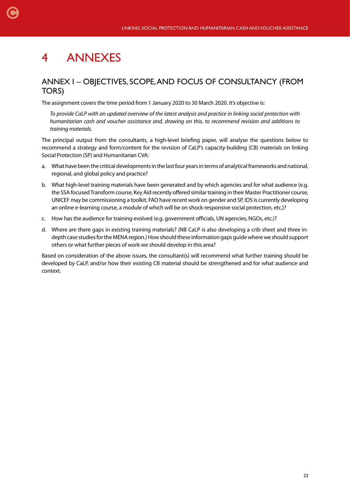## 4 ANNEXES

<span id="page-22-0"></span>[C](#page-1-0)

### ANNEX I – OBJECTIVES, SCOPE, AND FOCUS OF CONSULTANCY (FROM TORS)

The assignment covers the time period from 1 January 2020 to 30 March 2020. It's objective is:

*To provide CaLP with an updated overview of the latest analysis and practice in linking social protection with humanitarian cash and voucher assistance and, drawing on this, to recommend revision and additions to training materials.*

The principal output from the consultants, a high-level briefing paper, will analyse the questions below to recommend a strategy and form/content for the revision of CaLP's capacity-building (CB) materials on linking Social Protection (SP) and Humanitarian CVA:

- a. What have been the critical developments in the last four years in terms of analytical frameworks and national, regional, and global policy and practice?
- b. What high-level training materials have been generated and by which agencies and for what audience (e.g. the SSA focused Transform course, Key Aid recently offered similar training in their Master Practitioner course, UNICEF may be commissioning a toolkit, FAO have recent work on gender and SP, IDS is currently developing an online e-learning course, a module of which will be on shock-responsive social protection, etc.)?
- c. How has the audience for training evolved (e.g. government officials, UN agencies, NGOs, etc.)?
- d. Where are there gaps in existing training materials? (NB CaLP is also developing a crib sheet and three indepth case studies for the MENA region.) How should these information gaps guide where we should support others or what further pieces of work we should develop in this area?

Based on consideration of the above issues, the consultant(s) will recommend what further training should be developed by CaLP, and/or how their existing CB material should be strengthened and for what audience and context.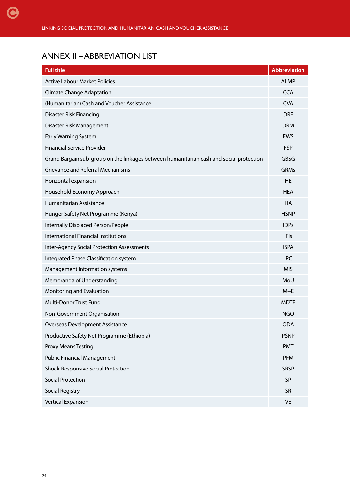## <span id="page-23-0"></span>ANNEX II – ABBREVIATION LIST

| <b>Full title</b>                                                                       | <b>Abbreviation</b> |
|-----------------------------------------------------------------------------------------|---------------------|
| <b>Active Labour Market Policies</b>                                                    | <b>ALMP</b>         |
| <b>Climate Change Adaptation</b>                                                        | <b>CCA</b>          |
| (Humanitarian) Cash and Voucher Assistance                                              | <b>CVA</b>          |
| Disaster Risk Financing                                                                 | <b>DRF</b>          |
| Disaster Risk Management                                                                | <b>DRM</b>          |
| Early Warning System                                                                    | <b>EWS</b>          |
| <b>Financial Service Provider</b>                                                       | <b>FSP</b>          |
| Grand Bargain sub-group on the linkages between humanitarian cash and social protection | <b>GBSG</b>         |
| <b>Grievance and Referral Mechanisms</b>                                                | <b>GRMs</b>         |
| Horizontal expansion                                                                    | <b>HE</b>           |
| Household Economy Approach                                                              | <b>HEA</b>          |
| Humanitarian Assistance                                                                 | HA                  |
| Hunger Safety Net Programme (Kenya)                                                     | <b>HSNP</b>         |
| Internally Displaced Person/People                                                      | <b>IDPs</b>         |
| International Financial Institutions                                                    | IFIs                |
| <b>Inter-Agency Social Protection Assessments</b>                                       | <b>ISPA</b>         |
| Integrated Phase Classification system                                                  | <b>IPC</b>          |
| Management Information systems                                                          | <b>MIS</b>          |
| Memoranda of Understanding                                                              | MoU                 |
| Monitoring and Evaluation                                                               | $M+E$               |
| Multi-Donor Trust Fund                                                                  | <b>MDTF</b>         |
| Non-Government Organisation                                                             | <b>NGO</b>          |
| <b>Overseas Development Assistance</b>                                                  | ODA                 |
| Productive Safety Net Programme (Ethiopia)                                              | <b>PSNP</b>         |
| <b>Proxy Means Testing</b>                                                              | <b>PMT</b>          |
| <b>Public Financial Management</b>                                                      | <b>PFM</b>          |
| Shock-Responsive Social Protection                                                      | <b>SRSP</b>         |
| <b>Social Protection</b>                                                                | SP                  |
| <b>Social Registry</b>                                                                  | SR                  |
| <b>Vertical Expansion</b>                                                               | <b>VE</b>           |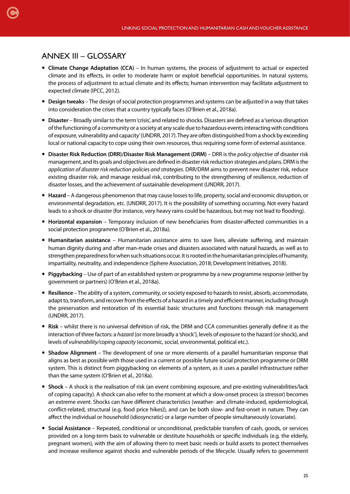## <span id="page-24-0"></span>ANNEX III – GLOSSARY

- **Climate Change Adaptation (CCA)** In human systems, the process of adjustment to actual or expected climate and its effects, in order to moderate harm or exploit beneficial opportunities. In natural systems, the process of adjustment to actual climate and its effects; human intervention may facilitate adjustment to expected climate (IPCC, 2012).
- **Design tweaks** The design of social protection programmes and systems can be adjusted in a way that takes into consideration the crises that a country typically faces (O'Brien et al., 2018a).
- **Disaster** Broadly similar to the term 'crisis', and related to shocks. Disasters are defined as a 'serious disruption of the functioning of a community or a society at any scale due to hazardous events interacting with conditions of exposure, vulnerability and capacity' (UNDRR, 2017). They are often distinguished from a shock by exceeding local or national capacity to cope using their own resources, thus requiring some form of external assistance.
- **Disaster Risk Reduction (DRR)/Disaster Risk Management (DRM)** DRR is the *policy objective* of disaster risk management, and its goals and objectives are defined in disaster risk reduction strategies and plans. DRM is the *application of disaster risk reduction policies and strategies*. DRR/DRM aims to prevent new disaster risk, reduce existing disaster risk, and manage residual risk, contributing to the strengthening of resilience, reduction of disaster losses, and the achievement of sustainable development (UNDRR, 2017).
- **Hazard** A dangerous phenomenon that may cause losses to life, property, social and economic disruption, or environmental degradation, etc. (UNDRR, 2017). It is the possibility of something occurring. Not every hazard leads to a shock or disaster (for instance, very heavy rains could be hazardous, but may not lead to flooding).
- **Horizontal expansion** Temporary inclusion of new beneficiaries from disaster-affected communities in a social protection programme (O'Brien et al., 2018a).
- **Humanitarian assistance** Humanitarian assistance aims to save lives, alleviate suffering, and maintain human dignity during and after man-made crises and disasters associated with natural hazards, as well as to strengthen preparedness for when such situations occur. It is rooted in the humanitarian principles of humanity, impartiality, neutrality, and independence (Sphere Association, 2018; Development Initiatives, 2018).
- **Piggybacking** Use of part of an established system or programme by a new programme response (either by government or partners) (O'Brien et al., 2018a).
- **Resilience** The ability of a system, community, or society exposed to hazards to resist, absorb, accommodate, adapt to, transform, and recover from the effects of a hazard in a timely and efficient manner, including through the preservation and restoration of its essential basic structures and functions through risk management (UNDRR, 2017).
- **Risk** whilst there is no universal definition of risk, the DRM and CCA communities generally define it as the interaction of three factors: a *hazard* (or more broadly a 'shock'), levels of *exposure* to the hazard (or shock), and levels of *vulnerability/coping capacity* (economic, social, environmental, political etc.).
- **Shadow Alignment** The development of one or more elements of a parallel humanitarian response that aligns as best as possible with those used in a current or possible future social protection programme or DRM system. This is distinct from piggybacking on elements of a system, as it uses a parallel infrastructure rather than the same system (O'Brien et al., 2018a).
- **Shock** A shock is the realisation of risk (an event combining exposure, and pre-existing vulnerabilities/lack of coping capacity). A shock can also refer to the moment at which a slow-onset process (a stressor) becomes an extreme event. Shocks can have different characteristics (weather- and climate-induced, epidemiological, conflict-related, structural (e.g. food price hikes)), and can be both slow- and fast-onset in nature. They can affect the individual or household (idiosyncratic) or a large number of people simultaneously (covariate).
- **Social Assistance** Repeated, conditional or unconditional, predictable transfers of cash, goods, or services provided on a long-term basis to vulnerable or destitute households or specific individuals (e.g. the elderly, pregnant women), with the aim of allowing them to meet basic needs or build assets to protect themselves and increase resilience against shocks and vulnerable periods of the lifecycle. Usually refers to government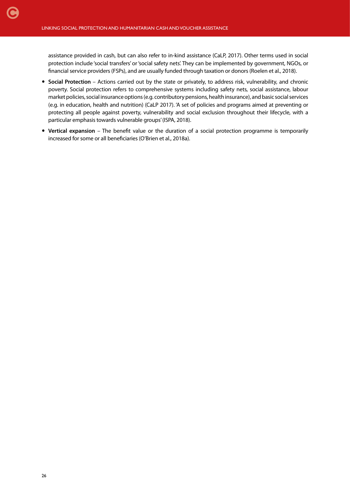assistance provided in cash, but can also refer to in-kind assistance (CaLP, 2017). Other terms used in social protection include 'social transfers' or 'social safety nets'. They can be implemented by government, NGOs, or financial service providers (FSPs), and are usually funded through taxation or donors (Roelen et al., 2018).

- **Social Protection** Actions carried out by the state or privately, to address risk, vulnerability, and chronic poverty. Social protection refers to comprehensive systems including safety nets, social assistance, labour market policies, social insurance options (e.g. contributory pensions, health insurance), and basic social services (e.g. in education, health and nutrition) (CaLP 2017). 'A set of policies and programs aimed at preventing or protecting all people against poverty, vulnerability and social exclusion throughout their lifecycle, with a particular emphasis towards vulnerable groups' (ISPA, 2018).
- **Vertical expansion** The benefit value or the duration of a social protection programme is temporarily increased for some or all beneficiaries (O'Brien et al., 2018a).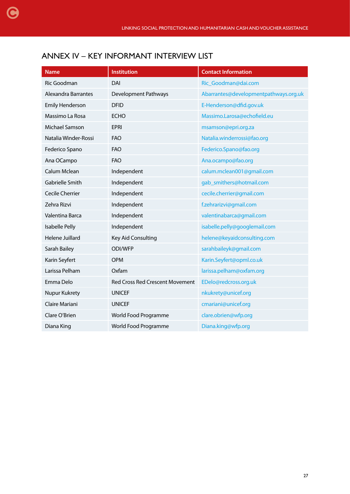## <span id="page-26-0"></span>ANNEX IV – KEY INFORMANT INTERVIEW LIST

| <b>Name</b>                | <b>Institution</b>                     | <b>Contact Information</b>            |
|----------------------------|----------------------------------------|---------------------------------------|
| Ric Goodman                | DAI                                    | Ric_Goodman@dai.com                   |
| <b>Alexandra Barrantes</b> | Development Pathways                   | Abarrantes@developmentpathways.org.uk |
| <b>Emily Henderson</b>     | <b>DFID</b>                            | E-Henderson@dfid.gov.uk               |
| Massimo La Rosa            | <b>ECHO</b>                            | Massimo.Larosa@echofield.eu           |
| Michael Samson             | <b>EPRI</b>                            | msamson@epri.org.za                   |
| Natalia Winder-Rossi       | <b>FAO</b>                             | Natalia.winderrossi@fao.org           |
| Federico Spano             | <b>FAO</b>                             | Federico.Spano@fao.org                |
| Ana OCampo                 | <b>FAO</b>                             | Ana.ocampo@fao.org                    |
| Calum Mclean               | Independent                            | calum.mclean001@gmail.com             |
| Gabrielle Smith            | Independent                            | gab_smithers@hotmail.com              |
| Cecile Cherrier            | Independent                            | cecile.cherrier@gmail.com             |
| Zehra Rizvi                | Independent                            | f.zehrarizvi@gmail.com                |
| Valentina Barca            | Independent                            | valentinabarca@gmail.com              |
| Isabelle Pelly             | Independent                            | isabelle.pelly@googlemail.com         |
| Helene Juillard            | Key Aid Consulting                     | helene@keyaidconsulting.com           |
| Sarah Bailey               | ODI/WFP                                | sarahbaileyk@gmail.com                |
| Karin Seyfert              | <b>OPM</b>                             | Karin.Seyfert@opml.co.uk              |
| Larissa Pelham             | Oxfam                                  | larissa.pelham@oxfam.org              |
| Emma Delo                  | <b>Red Cross Red Crescent Movement</b> | EDelo@redcross.org.uk                 |
| Nupur Kukrety              | <b>UNICEF</b>                          | nkukrety@unicef.org                   |
| Claire Mariani             | <b>UNICEF</b>                          | cmariani@unicef.org                   |
| Clare O'Brien              | World Food Programme                   | clare.obrien@wfp.org                  |
| Diana King                 | World Food Programme                   | Diana.king@wfp.org                    |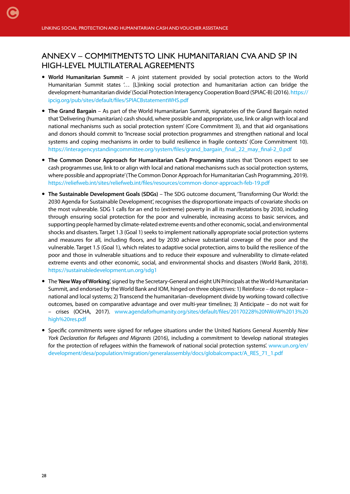## <span id="page-27-0"></span>ANNEX V – COMMITMENTS TO LINK HUMANITARIAN CVA AND SP IN HIGH-LEVEL MULTILATERAL AGREEMENTS

- **World Humanitarian Summit** A joint statement provided by social protection actors to the World Humanitarian Summit states '… [L]inking social protection and humanitarian action can bridge the development-humanitarian divide' (Social Protection Interagency Cooperation Board (SPIAC-B) (2016). [https://](https://ipcig.org/pub/sites/default/files/SPIACBstatementWHS.pdf) [ipcig.org/pub/sites/default/files/SPIACBstatementWHS.pdf](https://ipcig.org/pub/sites/default/files/SPIACBstatementWHS.pdf)
- **The Grand Bargain** As part of the World Humanitarian Summit, signatories of the Grand Bargain noted that 'Delivering (humanitarian) cash should, where possible and appropriate, use, link or align with local and national mechanisms such as social protection system' (Core Commitment 3), and that aid organisations and donors should commit to 'Increase social protection programmes and strengthen national and local systems and coping mechanisms in order to build resilience in fragile contexts' (Core Commitment 10). [https://interagencystandingcommittee.org/system/files/grand\\_bargain\\_final\\_22\\_may\\_final-2\\_0.pdf](https://interagencystandingcommittee.org/system/files/grand_bargain_final_22_may_final-2_0.pdf)
- **The Common Donor Approach for Humanitarian Cash Programming** states that 'Donors expect to see cash programmes use, link to or align with local and national mechanisms such as social protection systems, where possible and appropriate' (The Common Donor Approach for Humanitarian Cash Programming, 2019). <https://reliefweb.int/sites/reliefweb.int/files/resources/common-donor-approach-feb-19.pdf>
- **The Sustainable Development Goals (SDGs)** The SDG outcome document, 'Transforming Our World: the 2030 Agenda for Sustainable Development', recognises the disproportionate impacts of covariate shocks on the most vulnerable. SDG 1 calls for an end to (extreme) poverty in all its manifestations by 2030, including through ensuring social protection for the poor and vulnerable, increasing access to basic services, and supporting people harmed by climate-related extreme events and other economic, social, and environmental shocks and disasters. Target 1.3 (Goal 1) seeks to implement nationally appropriate social protection systems and measures for all, including floors, and by 2030 achieve substantial coverage of the poor and the vulnerable. Target 1.5 (Goal 1), which relates to adaptive social protection, aims to build the resilience of the poor and those in vulnerable situations and to reduce their exposure and vulnerability to climate-related extreme events and other economic, social, and environmental shocks and disasters (World Bank, 2018). <https://sustainabledevelopment.un.org/sdg1>
- The '**New Way of Working**', signed by the Secretary-General and eight UN Principals at the World Humanitarian Summit, and endorsed by the World Bank and IOM, hinged on three objectives: 1) Reinforce – do not replace – national and local systems; 2) Transcend the humanitarian–development divide by working toward collective outcomes, based on comparative advantage and over multi-year timelines; 3) Anticipate – do not wait for – crises (OCHA, 2017). [www.agendaforhumanity.org/sites/default/files/20170228%20NWoW%2013%20](https://www.agendaforhumanity.org/sites/default/files/20170228%20NWoW%2013%20high%20res.pdf) [high%20res.pdf](https://www.agendaforhumanity.org/sites/default/files/20170228%20NWoW%2013%20high%20res.pdf)
- Specific commitments were signed for refugee situations under the United Nations General Assembly *New York Declaration for Refugees and Migrants* (2016), including a commitment to 'develop national strategies for the protection of refugees within the framework of national social protection systems'. [www.un.org/en/](https://www.un.org/en/development/desa/population/migration/generalassembly/docs/globalcompact/A_RES_71_1.pdf) [development/desa/population/migration/generalassembly/docs/globalcompact/A\\_RES\\_71\\_1.pdf](https://www.un.org/en/development/desa/population/migration/generalassembly/docs/globalcompact/A_RES_71_1.pdf)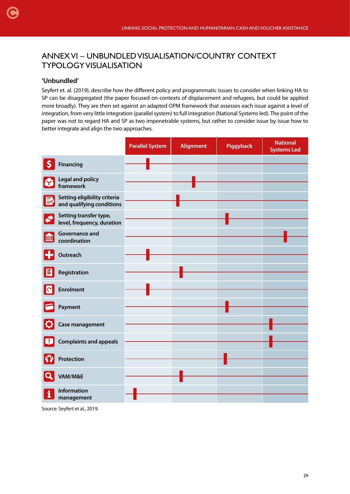## ANNEX VI – UNBUNDLED VISUALISATION/COUNTRY CONTEXT TYPOLOGY VISUALISATION

#### **'Unbundled'**

<span id="page-28-0"></span>[C](#page-1-0)

Seyfert et. al. (2019), describe how the different policy and programmatic issues to consider when linking HA to SP can be disaggregated (the paper focused on contexts of displacement and refugees, but could be applied more broadly). They are then set against an adapted OPM framework that assesses each issue against a level of integration, from very little integration (parallel system) to full integration (National Systems led). The point of the paper was not to regard HA and SP as two impenetrable systems, but rather to consider issue by issue how to better integrate and align the two approaches.

|                           |                                                           | <b>Parallel System</b> | <b>Alignment</b> | Piggyback | <b>National</b><br><b>Systems Led</b> |
|---------------------------|-----------------------------------------------------------|------------------------|------------------|-----------|---------------------------------------|
| $\boldsymbol{\mathsf{S}}$ | <b>Financing</b>                                          |                        |                  |           |                                       |
| ¦۲                        | <b>Legal and policy</b><br>framework                      |                        |                  |           |                                       |
| 国                         | Setting eligibility criteria<br>and qualifying conditions |                        |                  |           |                                       |
| ⋪                         | Setting transfer type,<br>level, frequency, duration      |                        |                  |           |                                       |
| m                         | <b>Governance and</b><br>coordination                     |                        |                  |           |                                       |
|                           | Outreach                                                  |                        |                  |           |                                       |
|                           | Registration                                              |                        |                  |           |                                       |
|                           | <b>Enrolment</b>                                          |                        |                  |           |                                       |
|                           | Payment                                                   |                        |                  |           |                                       |
|                           | Case management                                           |                        |                  |           |                                       |
|                           | <b>Complaints and appeals</b>                             |                        |                  |           |                                       |
|                           | Protection                                                |                        |                  |           |                                       |
|                           | VAM/M&E                                                   |                        |                  |           |                                       |
|                           | <b>Information</b><br>management                          |                        |                  |           |                                       |

Source: Seyfert et al., 2019.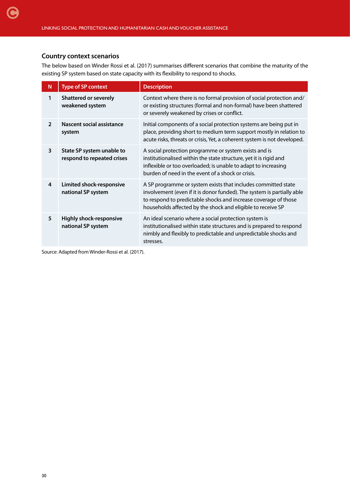#### **Country context scenarios**

The below based on Winder Rossi et al. (2017) summarises different scenarios that combine the maturity of the existing SP system based on state capacity with its flexibility to respond to shocks.

| N              | <b>Type of SP context</b>                               | <b>Description</b>                                                                                                                                                                                                                                                        |
|----------------|---------------------------------------------------------|---------------------------------------------------------------------------------------------------------------------------------------------------------------------------------------------------------------------------------------------------------------------------|
| 1              | <b>Shattered or severely</b><br>weakened system         | Context where there is no formal provision of social protection and/<br>or existing structures (formal and non-formal) have been shattered<br>or severely weakened by crises or conflict.                                                                                 |
| $\overline{2}$ | Nascent social assistance<br>system                     | Initial components of a social protection systems are being put in<br>place, providing short to medium term support mostly in relation to<br>acute risks, threats or crisis, Yet, a coherent system is not developed.                                                     |
| 3              | State SP system unable to<br>respond to repeated crises | A social protection programme or system exists and is<br>institutionalised within the state structure, yet it is rigid and<br>inflexible or too overloaded; is unable to adapt to increasing<br>burden of need in the event of a shock or crisis.                         |
| 4              | Limited shock-responsive<br>national SP system          | A SP programme or system exists that includes committed state<br>involvement (even if it is donor funded). The system is partially able<br>to respond to predictable shocks and increase coverage of those<br>households affected by the shock and eligible to receive SP |
| 5              | <b>Highly shock-responsive</b><br>national SP system    | An ideal scenario where a social protection system is<br>institutionalised within state structures and is prepared to respond<br>nimbly and flexibly to predictable and unpredictable shocks and<br>stresses.                                                             |

Source: Adapted from Winder-Rossi et al. (2017).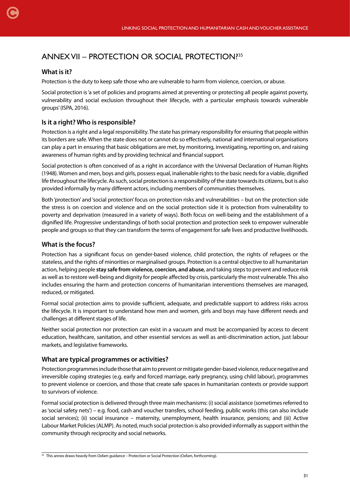### ANNEX VII – PROTECTION OR SOCIAL PROTECTION?<sup>35</sup>

#### **What is it?**

<span id="page-30-0"></span>[C](#page-1-0)

Protection is the duty to keep safe those who are vulnerable to harm from violence, coercion, or abuse.

Social protection is 'a set of policies and programs aimed at preventing or protecting all people against poverty, vulnerability and social exclusion throughout their lifecycle, with a particular emphasis towards vulnerable groups' (ISPA, 2016).

#### **Is it a right? Who is responsible?**

Protection is a right and a legal responsibility. The state has primary responsibility for ensuring that people within its borders are safe. When the state does not or cannot do so effectively, national and international organisations can play a part in ensuring that basic obligations are met, by monitoring, investigating, reporting on, and raising awareness of human rights and by providing technical and financial support.

Social protection is often conceived of as a right in accordance with the Universal Declaration of Human Rights (1948). Women and men, boys and girls, possess equal, inalienable rights to the basic needs for a viable, dignified life throughout the lifecycle. As such, social protection is a responsibility of the state towards its citizens, but is also provided informally by many different actors, including members of communities themselves.

Both 'protection' and 'social protection' focus on protection risks and vulnerabilities – but on the protection side the stress is on coercion and violence and on the social protection side it is protection from vulnerability to poverty and deprivation (measured in a variety of ways). Both focus on well-being and the establishment of a dignified life. Progressive understandings of both social protection and protection seek to empower vulnerable people and groups so that they can transform the terms of engagement for safe lives and productive livelihoods.

#### **What is the focus?**

Protection has a significant focus on gender-based violence, child protection, the rights of refugees or the stateless, and the rights of minorities or marginalised groups. Protection is a central objective to all humanitarian action, helping people **stay safe from violence, coercion, and abuse**, and taking steps to prevent and reduce risk as well as to restore well-being and dignity for people affected by crisis, particularly the most vulnerable. This also includes ensuring the harm and protection concerns of humanitarian interventions themselves are managed, reduced, or mitigated.

Formal social protection aims to provide sufficient, adequate, and predictable support to address risks across the lifecycle. It is important to understand how men and women, girls and boys may have different needs and challenges at different stages of life.

Neither social protection nor protection can exist in a vacuum and must be accompanied by access to decent education, healthcare, sanitation, and other essential services as well as anti-discrimination action, just labour markets, and legislative frameworks.

#### **What are typical programmes or activities?**

Protection programmes include those that aim to prevent or mitigate gender-based violence, reduce negative and irreversible coping strategies (e.g. early and forced marriage, early pregnancy, using child labour), programmes to prevent violence or coercion, and those that create safe spaces in humanitarian contexts or provide support to survivors of violence.

Formal social protection is delivered through three main mechanisms: (i) social assistance (sometimes referred to as 'social safety nets') – e.g. food, cash and voucher transfers, school feeding, public works (this can also include social services); (ii) social insurance – maternity, unemployment, health insurance, pensions; and (iii) Active Labour Market Policies (ALMP). As noted, much social protection is also provided informally as support within the community through reciprocity and social networks.

<sup>&</sup>lt;sup>35</sup> This annex draws heavily from Oxfam guidance – Protection or Social Protection (Oxfam, forthcoming).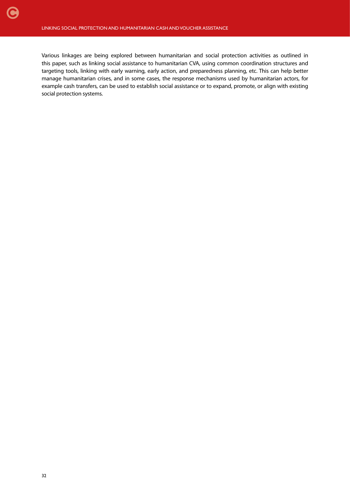Various linkages are being explored between humanitarian and social protection activities as outlined in this paper, such as linking social assistance to humanitarian CVA, using common coordination structures and targeting tools, linking with early warning, early action, and preparedness planning, etc. This can help better manage humanitarian crises, and in some cases, the response mechanisms used by humanitarian actors, for example cash transfers, can be used to establish social assistance or to expand, promote, or align with existing social protection systems.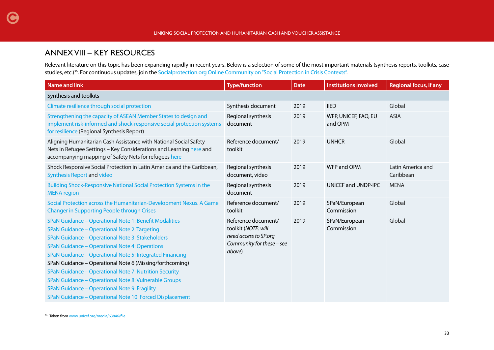### ANNEX VIII – KEY RESOURCES

<span id="page-32-0"></span>[C](#page-1-0)

Relevant literature on this topic has been expanding rapidly in recent years. Below is a selection of some of the most important materials (synthesis reports, toolkits, case studies, etc.)<sup>36</sup>. For continuous updates, join the [Socialprotection.org Online Community on "Social Protection in Crisis Contexts"](https://socialprotection.org/connect/communities/social-protection-crisis-contexts-la-protection-sociale-dans-les-contextes-de).

| <b>Name and link</b>                                                                                                                                                                                                                                                                                                                                                                                                                                                                                                                                                  | <b>Type/function</b>                                                                                       | <b>Date</b> | <b>Institutions involved</b>    | <b>Regional focus, if any</b>  |
|-----------------------------------------------------------------------------------------------------------------------------------------------------------------------------------------------------------------------------------------------------------------------------------------------------------------------------------------------------------------------------------------------------------------------------------------------------------------------------------------------------------------------------------------------------------------------|------------------------------------------------------------------------------------------------------------|-------------|---------------------------------|--------------------------------|
| Synthesis and toolkits                                                                                                                                                                                                                                                                                                                                                                                                                                                                                                                                                |                                                                                                            |             |                                 |                                |
| Climate resilience through social protection                                                                                                                                                                                                                                                                                                                                                                                                                                                                                                                          | Synthesis document                                                                                         | 2019        | <b>IIED</b>                     | Global                         |
| Strengthening the capacity of ASEAN Member States to design and<br>implement risk-informed and shock-responsive social protection systems<br>for resilience (Regional Synthesis Report)                                                                                                                                                                                                                                                                                                                                                                               | Regional synthesis<br>document                                                                             | 2019        | WFP, UNICEF, FAO, EU<br>and OPM | <b>ASIA</b>                    |
| Aligning Humanitarian Cash Assistance with National Social Safety<br>Nets in Refugee Settings - Key Considerations and Learning here and<br>accompanying mapping of Safety Nets for refugees here                                                                                                                                                                                                                                                                                                                                                                     | Reference document/<br>toolkit                                                                             | 2019        | <b>UNHCR</b>                    | Global                         |
| Shock Responsive Social Protection in Latin America and the Caribbean,<br><b>Synthesis Report and video</b>                                                                                                                                                                                                                                                                                                                                                                                                                                                           | Regional synthesis<br>document, video                                                                      | 2019        | WFP and OPM                     | Latin America and<br>Caribbean |
| Building Shock-Responsive National Social Protection Systems in the<br><b>MENA</b> region                                                                                                                                                                                                                                                                                                                                                                                                                                                                             | Regional synthesis<br>document                                                                             | 2019        | UNICEF and UNDP-IPC             | <b>MENA</b>                    |
| Social Protection across the Humanitarian-Development Nexus. A Game<br><b>Changer in Supporting People through Crises</b>                                                                                                                                                                                                                                                                                                                                                                                                                                             | Reference document/<br>toolkit                                                                             | 2019        | SPaN/European<br>Commission     | Global                         |
| SPaN Guidance - Operational Note 1: Benefit Modalities<br>SPaN Guidance - Operational Note 2: Targeting<br>SPaN Guidance - Operational Note 3: Stakeholders<br>SPaN Guidance - Operational Note 4: Operations<br>SPaN Guidance - Operational Note 5: Integrated Financing<br>SPaN Guidance - Operational Note 6 (Missing/forthcoming)<br>SPaN Guidance - Operational Note 7: Nutrition Security<br>SPaN Guidance - Operational Note 8: Vulnerable Groups<br>SPaN Guidance - Operational Note 9: Fragility<br>SPaN Guidance - Operational Note 10: Forced Displacement | Reference document/<br>toolkit (NOTE: will<br>need access to SP.org<br>Community for these - see<br>above) | 2019        | SPaN/European<br>Commission     | Global                         |

36 Taken from [www.unicef.org/media/63846/file](https://www.unicef.org/media/63846/file)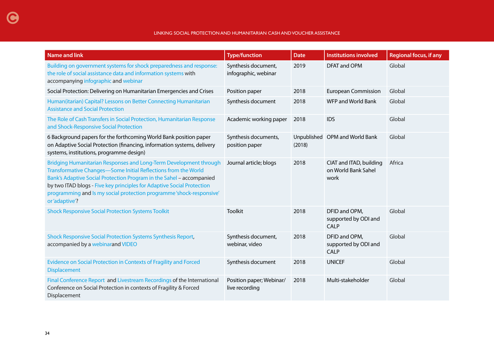| <b>Name and link</b>                                                                                                                                                                                                                                                                                                                                                           | <b>Type/function</b>                        | <b>Date</b> | <b>Institutions involved</b>                           | <b>Regional focus, if any</b> |
|--------------------------------------------------------------------------------------------------------------------------------------------------------------------------------------------------------------------------------------------------------------------------------------------------------------------------------------------------------------------------------|---------------------------------------------|-------------|--------------------------------------------------------|-------------------------------|
| Building on government systems for shock preparedness and response:<br>the role of social assistance data and information systems with<br>accompanying infographic and webinar                                                                                                                                                                                                 | Synthesis document,<br>infographic, webinar | 2019        | DFAT and OPM                                           | Global                        |
| Social Protection: Delivering on Humanitarian Emergencies and Crises                                                                                                                                                                                                                                                                                                           | Position paper                              | 2018        | <b>European Commission</b>                             | Global                        |
| Human(itarian) Capital? Lessons on Better Connecting Humanitarian<br><b>Assistance and Social Protection</b>                                                                                                                                                                                                                                                                   | Synthesis document                          | 2018        | <b>WFP and World Bank</b>                              | Global                        |
| The Role of Cash Transfers in Social Protection, Humanitarian Response<br>and Shock-Responsive Social Protection                                                                                                                                                                                                                                                               | Academic working paper                      | 2018        | <b>IDS</b>                                             | Global                        |
| 6 Background papers for the forthcoming World Bank position paper<br>on Adaptive Social Protection (financing, information systems, delivery<br>systems, institutions, programme design)                                                                                                                                                                                       | Synthesis documents,<br>position paper      | (2018)      | Unpublished OPM and World Bank                         | Global                        |
| Bridging Humanitarian Responses and Long-Term Development through<br>Transformative Changes-Some Initial Reflections from the World<br>Bank's Adaptive Social Protection Program in the Sahel - accompanied<br>by two ITAD blogs - Five key principles for Adaptive Social Protection<br>programming and Is my social protection programme'shock-responsive'<br>or 'adaptive'? | Journal article; blogs                      | 2018        | CIAT and ITAD, building<br>on World Bank Sahel<br>work | Africa                        |
| <b>Shock Responsive Social Protection Systems Toolkit</b>                                                                                                                                                                                                                                                                                                                      | <b>Toolkit</b>                              | 2018        | DFID and OPM,<br>supported by ODI and<br><b>CALP</b>   | Global                        |
| Shock Responsive Social Protection Systems Synthesis Report,<br>accompanied by a webinarand VIDEO                                                                                                                                                                                                                                                                              | Synthesis document,<br>webinar, video       | 2018        | DFID and OPM,<br>supported by ODI and<br>CALP          | Global                        |
| Evidence on Social Protection in Contexts of Fragility and Forced<br><b>Displacement</b>                                                                                                                                                                                                                                                                                       | Synthesis document                          | 2018        | <b>UNICEF</b>                                          | Global                        |
| Final Conference Report and Livestream Recordings of the International<br>Conference on Social Protection in contexts of Fragility & Forced<br>Displacement                                                                                                                                                                                                                    | Position paper; Webinar/<br>live recording  | 2018        | Multi-stakeholder                                      | Global                        |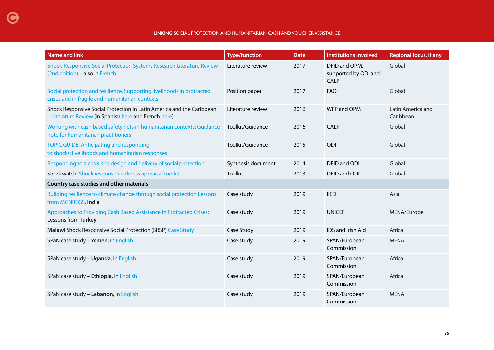#### LINKING SOCIAL PROTECTION AND HUMANITARIAN CASH AND VOUCHER ASSISTANCE

| <b>Name and link</b>                                                                                                           | <b>Type/function</b> | <b>Date</b> | <b>Institutions involved</b>                  | <b>Regional focus, if any</b>  |
|--------------------------------------------------------------------------------------------------------------------------------|----------------------|-------------|-----------------------------------------------|--------------------------------|
| Shock-Responsive Social Protection Systems Research Literature Review<br>(2nd edition) - also in French                        | Literature review    | 2017        | DFID and OPM,<br>supported by ODI and<br>CALP | Global                         |
| Social protection and resilience. Supporting livelihoods in protracted<br>crises and in fragile and humanitarian contexts      | Position paper       | 2017        | <b>FAO</b>                                    | Global                         |
| Shock Responsive Social Protection in Latin America and the Caribbean<br>- Literature Review (in Spanish here and French here) | Literature review    | 2016        | WFP and OPM                                   | Latin America and<br>Caribbean |
| Working with cash based safety nets in humanitarian contexts: Guidance<br>note for humanitarian practitioners                  | Toolkit/Guidance     | 2016        | CALP                                          | Global                         |
| <b>TOPIC GUIDE: Anticipating and responding</b><br>to shocks: livelihoods and humanitarian responses                           | Toolkit/Guidance     | 2015        | ODI                                           | Global                         |
| Responding to a crisis: the design and delivery of social protection                                                           | Synthesis document   | 2014        | DFID and ODI                                  | Global                         |
| Shockwatch: Shock response readiness appraisal toolkit                                                                         | <b>Toolkit</b>       | 2013        | DFID and ODI                                  | Global                         |
| Country case studies and other materials                                                                                       |                      |             |                                               |                                |
| Building resilience to climate change through social protection Lessons<br>from MGNREGS, India                                 | Case study           | 2019        | <b>IIED</b>                                   | Asia                           |
| Approaches to Providing Cash Based Assistance in Protracted Crises:<br>Lessons from Turkey                                     | Case study           | 2019        | <b>UNICEF</b>                                 | MENA/Europe                    |
| Malawi Shock Responsive Social Protection (SRSP) Case Study                                                                    | Case Study           | 2019        | IDS and Irish Aid                             | Africa                         |
| SPaN case study - Yemen, in English                                                                                            | Case study           | 2019        | SPAN/European<br>Commission                   | <b>MENA</b>                    |
| SPaN case study - Uganda, in English                                                                                           | Case study           | 2019        | SPAN/European<br>Commission                   | Africa                         |
| SPaN case study - Ethiopia, in English                                                                                         | Case study           | 2019        | SPAN/European<br>Commission                   | Africa                         |
| SPaN case study - Lebanon, in English                                                                                          | Case study           | 2019        | SPAN/European<br>Commission                   | <b>MENA</b>                    |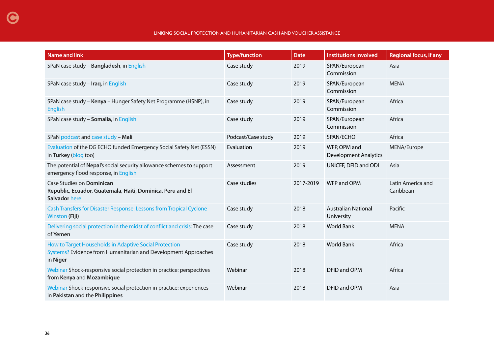#### LINKING SOCIAL PROTECTION AND HUMANITARIAN CASH AND VOUCHER ASSISTANCE

| <b>Name and link</b>                                                                                                                 | <b>Type/function</b> | <b>Date</b> | <b>Institutions involved</b>                 | <b>Regional focus, if any</b>  |
|--------------------------------------------------------------------------------------------------------------------------------------|----------------------|-------------|----------------------------------------------|--------------------------------|
| SPaN case study - Bangladesh, in English                                                                                             | Case study           | 2019        | SPAN/European<br>Commission                  | Asia                           |
| SPaN case study - Iraq, in English                                                                                                   | Case study           | 2019        | SPAN/European<br>Commission                  | <b>MENA</b>                    |
| SPaN case study - Kenya - Hunger Safety Net Programme (HSNP), in<br><b>English</b>                                                   | Case study           | 2019        | SPAN/European<br>Commission                  | Africa                         |
| SPaN case study - Somalia, in English                                                                                                | Case study           | 2019        | SPAN/European<br>Commission                  | Africa                         |
| SPaN podcast and case study - Mali                                                                                                   | Podcast/Case study   | 2019        | SPAN/ECHO                                    | Africa                         |
| Evaluation of the DG ECHO funded Emergency Social Safety Net (ESSN)<br>in Turkey (blog too)                                          | Evaluation           | 2019        | WFP, OPM and<br><b>Development Analytics</b> | MENA/Europe                    |
| The potential of Nepal's social security allowance schemes to support<br>emergency flood response, in English                        | Assessment           | 2019        | UNICEF, DFID and ODI                         | Asia                           |
| Case Studies on Dominican<br>Republic, Ecuador, Guatemala, Haiti, Dominica, Peru and El<br>Salvador here                             | Case studies         | 2017-2019   | <b>WFP and OPM</b>                           | Latin America and<br>Caribbean |
| Cash Transfers for Disaster Response: Lessons from Tropical Cyclone<br><b>Winston (Fiji)</b>                                         | Case study           | 2018        | <b>Australian National</b><br>University     | Pacific                        |
| Delivering social protection in the midst of conflict and crisis: The case<br>of Yemen                                               | Case study           | 2018        | <b>World Bank</b>                            | <b>MENA</b>                    |
| How to Target Households in Adaptive Social Protection<br>Systems? Evidence from Humanitarian and Development Approaches<br>in Niger | Case study           | 2018        | <b>World Bank</b>                            | Africa                         |
| Webinar Shock-responsive social protection in practice: perspectives<br>from Kenya and Mozambique                                    | Webinar              | 2018        | DFID and OPM                                 | Africa                         |
| Webinar Shock-responsive social protection in practice: experiences<br>in Pakistan and the Philippines                               | Webinar              | 2018        | DFID and OPM                                 | Asia                           |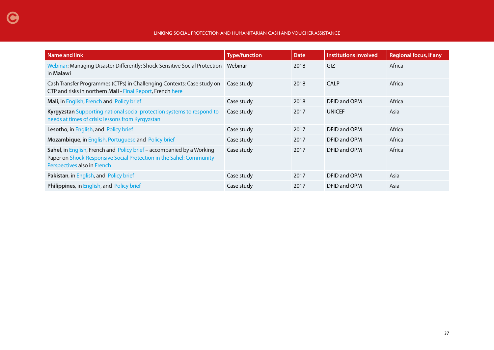#### LINKING SOCIAL PROTECTION AND HUMANITARIAN CASH AND VOUCHER ASSISTANCE

| Name and link                                                                                                                                                               | <b>Type/function</b> | <b>Date</b> | Institutions involved | <b>Regional focus, if any</b> |
|-----------------------------------------------------------------------------------------------------------------------------------------------------------------------------|----------------------|-------------|-----------------------|-------------------------------|
| Webinar: Managing Disaster Differently: Shock-Sensitive Social Protection<br>in Malawi                                                                                      | Webinar              | 2018        | GIZ                   | Africa                        |
| Cash Transfer Programmes (CTPs) in Challenging Contexts: Case study on<br>CTP and risks in northern Mali - Final Report, French here                                        | Case study           | 2018        | CALP                  | Africa                        |
| Mali, in English, French and Policy brief                                                                                                                                   | Case study           | 2018        | DFID and OPM          | Africa                        |
| Kyrgyzstan Supporting national social protection systems to respond to<br>needs at times of crisis: lessons from Kyrgyzstan                                                 | Case study           | 2017        | <b>UNICEF</b>         | Asia                          |
| Lesotho, in English, and Policy brief                                                                                                                                       | Case study           | 2017        | DFID and OPM          | Africa                        |
| Mozambique, in English, Portuguese and Policy brief                                                                                                                         | Case study           | 2017        | DFID and OPM          | Africa                        |
| Sahel, in English, French and Policy brief - accompanied by a Working<br>Paper on Shock-Responsive Social Protection in the Sahel: Community<br>Perspectives also in French | Case study           | 2017        | DFID and OPM          | Africa                        |
| Pakistan, in English, and Policy brief                                                                                                                                      | Case study           | 2017        | DFID and OPM          | Asia                          |
| Philippines, in English, and Policy brief                                                                                                                                   | Case study           | 2017        | DFID and OPM          | Asia                          |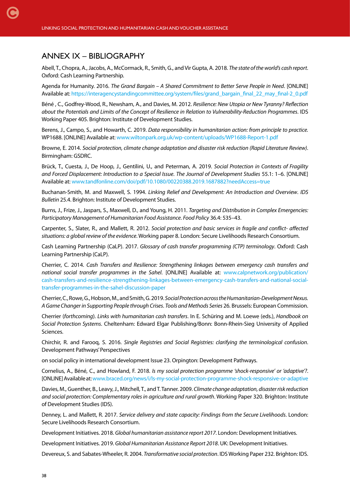### <span id="page-37-0"></span>ANNEX IX – BIBLIOGRAPHY

Abell, T., Chopra, A., Jacobs, A., McCormack, R., Smith, G., and Vir Gupta, A. 2018. *The state of the world's cash report*. Oxford: Cash Learning Partnership.

Agenda for Humanity. 2016. *The Grand Bargain – A Shared Commitment to Better Serve People in Need*. [ONLINE] Available at: [https://interagencystandingcommittee.org/system/files/grand\\_bargain\\_final\\_22\\_may\\_final-2\\_0.pdf](https://interagencystandingcommittee.org/system/files/grand_bargain_final_22_may_final-2_0.pdf) 

Béné , C., Godfrey-Wood, R., Newsham, A., and Davies, M. 2012. *Resilience: New Utopia or New Tyranny? Reflection about the Potentials and Limits of the Concept of Resilience in Relation to Vulnerability-Reduction Programmes*. IDS Working Paper 405. Brighton: Institute of Development Studies.

Berens, J., Campo, S., and Howarth, C. 2019. *Data responsibility in humanitarian action: from principle to practice.* WP1688. [ONLINE] Available at: [www.wiltonpark.org.uk/wp-content/uploads/WP1688-Report-1.pdf](https://www.wiltonpark.org.uk/wp-content/uploads/WP1688-Report-1.pdf)

Browne, E. 2014. *Social protection, climate change adaptation and disaster risk reduction (Rapid Literature Review)*. Birmingham: GSDRC.

Brück, T., Cuesta, J., De Hoop, J., Gentilini, U., and Peterman, A. 2019. *Social Protection in Contexts of Fragility and Forced Displacement: Introduction to a Special Issue*. *The Journal of Development Studies* 55.1: 1–6. [ONLINE] Available at: [www.tandfonline.com/doi/pdf/10.1080/00220388.2019.1687882?needAccess=true](https://www.tandfonline.com/doi/pdf/10.1080/00220388.2019.1687882?needAccess=true)

Buchanan-Smith, M. and Maxwell, S. 1994. *Linking Relief and Development: An Introduction and Overview*. *IDS Bulletin* 25.4. Brighton: Institute of Development Studies.

Burns, J., Frize, J., Jaspars, S., Maxwell, D., and Young, H. 2011. *Targeting and Distribution in Complex Emergencies: Participatory Management of Humanitarian Food Assistance*. *Food Policy* 36.4: 535–43.

Carpenter, S., Slater, R., and Mallett, R. 2012. *Social protection and basic services in fragile and conflict- affected situations: a global review of the evidence*. Working paper 8. London: Secure Livelihoods Research Consortium.

Cash Learning Partnership (CaLP). 2017. *Glossary of cash transfer programming (CTP) terminology*. Oxford: Cash Learning Partnership (CaLP).

Cherrier, C. 2014. *Cash Transfers and Resilience: Strengthening linkages between emergency cash transfers and national social transfer programmes in the Sahel*. [ONLINE] Available at: [www.calpnetwork.org/publication/](https://www.calpnetwork.org/publication/cash-transfers-and-resilience-strengthening-linkages-between-emergency-cash-transfers-and-national-social-transfer-programmes-in-the-sahel-discussion-paper/) [cash-transfers-and-resilience-strengthening-linkages-between-emergency-cash-transfers-and-national-social](https://www.calpnetwork.org/publication/cash-transfers-and-resilience-strengthening-linkages-between-emergency-cash-transfers-and-national-social-transfer-programmes-in-the-sahel-discussion-paper/)[transfer-programmes-in-the-sahel-discussion-paper](https://www.calpnetwork.org/publication/cash-transfers-and-resilience-strengthening-linkages-between-emergency-cash-transfers-and-national-social-transfer-programmes-in-the-sahel-discussion-paper/)

Cherrier, C., Rowe, G., Hobson, M., and Smith, G. 2019. *Social Protection across the Humanitarian-Development Nexus. A Game Changer in Supporting People through Crises*. *Tools and Methods Series* 26. Brussels: European Commission.

Cherrier (*forthcoming*). *Links with humanitarian cash transfers*. In E. Schüring and M. Loewe (eds.), *Handbook on Social Protection Systems*. Cheltenham: Edward Elgar Publishing/Bonn: Bonn-Rhein-Sieg University of Applied Sciences.

Chirchir, R. and Farooq, S. 2016. *Single Registries and Social Registries: clarifying the terminological confusion*. Development Pathways' Perspectives

on social policy in international development Issue 23. Orpington: Development Pathways.

Cornelius, A., Béné, C., and Howland, F. 2018. *Is my social protection programme 'shock-responsive' or 'adaptive'?*. [ONLINE] Available at: [www.braced.org/news/i/Is-my-social-protection-programme-shock-responsive-or-adaptive](http://www.braced.org/news/i/Is-my-social-protection-programme-shock-responsive-or-adaptive/)

Davies, M., Guenther, B., Leavy, J., Mitchell, T., and T. Tanner. 2009. *Climate change adaptation, disaster risk reduction and social protection: Complementary roles in agriculture and rural growth*. Working Paper 320. Brighton: Institute of Development Studies (IDS).

Denney, L. and Mallett, R. 2017. *Service delivery and state capacity: Findings from the Secure Livelihoods*. London: Secure Livelihoods Research Consortium.

Development Initiatives. 2018. *Global humanitarian assistance report 2017*. London: Development Initiatives.

Development Initiatives. 2019. *Global Humanitarian Assistance Report 2018*. UK: Development Initiatives.

Devereux, S. and Sabates-Wheeler, R. 2004. *Transformative social protection*. IDS Working Paper 232. Brighton: IDS.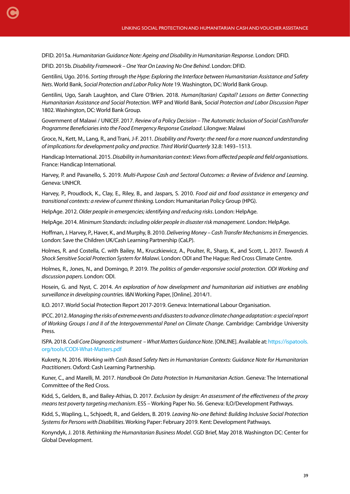DFID. 2015a. *Humanitarian Guidance Note: Ageing and Disability in Humanitarian Response*. London: DFID.

DFID. 2015b. *Disability Framework – One Year On Leaving No One Behind*. London: DFID.

[C](#page-1-0)

Gentilini, Ugo. 2016. *Sorting through the Hype: Exploring the Interface between Humanitarian Assistance and Safety Nets*. World Bank, *Social Protection and Labor Policy Note* 19. Washington, DC: World Bank Group.

Gentilini, Ugo, Sarah Laughton, and Clare O'Brien. 2018. *Human(Itarian) Capital? Lessons on Better Connecting Humanitarian Assistance and Social Protection*. WFP and World Bank, S*ocial Protection and Labor Discussion Paper*  1802. Washington, DC: World Bank Group.

Government of Malawi / UNICEF. 2017. *Review of a Policy Decision – The Automatic Inclusion of Social CashTransfer Programme Beneficiaries into the Food Emergency Response Caseload*. Lilongwe: Malawi

Groce, N., Kett, M., Lang, R., and Trani, J-F. 2011. *Disability and Poverty: the need for a more nuanced understanding of implications for development policy and practice*. *Third World Quarterly* 32.8: 1493–1513.

Handicap International. 2015. *Disability in humanitarian context: Views from affected people and field organisations*. France: Handicap International.

Harvey, P. and Pavanello, S. 2019. *Multi-Purpose Cash and Sectoral Outcomes: a Review of Evidence and Learning*. Geneva: UNHCR.

Harvey, P., Proudlock, K., Clay, E., Riley, B., and Jaspars, S. 2010. *Food aid and food assistance in emergency and transitional contexts: a review of current thinking.* London: Humanitarian Policy Group (HPG).

HelpAge. 2012. *Older people in emergencies; identifying and reducing risks*. London: HelpAge.

HelpAge. 2014. *Minimum Standards: including older people in disaster risk management.* London: HelpAge.

Hoffman, J. Harvey, P., Haver, K., and Murphy, B. 2010. *Delivering Money – Cash Transfer Mechanisms in Emergencies*. London: Save the Children UK/Cash Learning Partnership (CaLP).

Holmes, R. and Costella, C. with Bailey, M., Kruczkiewicz, A., Poulter, R., Sharp, K., and Scott, L. 2017. *Towards A Shock Sensitive Social Protection System for Malawi*. London: ODI and The Hague: Red Cross Climate Centre.

Holmes, R., Jones, N., and Domingo, P. 2019. *The politics of gender-responsive social protection. ODI Working and discussion papers*. London: ODI.

Hosein, G. and Nyst, C. 2014. *An exploration of how development and humanitarian aid initiatives are enabling surveillance in developing countries*. I&N Working Paper, [Online]. 2014/1.

ILO. 2017. World Social Protection Report 2017-2019. Geneva: International Labour Organisation.

IPCC. 2012. *Managing the risks of extreme events and disasters to advance climate change adaptation: a special report of Working Groups I and II of the Intergovernmental Panel on Climate Change*. Cambridge: Cambridge University Press.

ISPA. 2018. *Codi Core Diagnostic Instrument – What Matters Guidance Note*. [ONLINE]. Available at: [https://ispatools.](https://ispatools.org/tools/CODI-What-Matters.pdf) [org/tools/CODI-What-Matters.pdf](https://ispatools.org/tools/CODI-What-Matters.pdf) 

Kukrety, N. 2016. *Working with Cash Based Safety Nets in Humanitarian Contexts: Guidance Note for Humanitarian Practitioners*. Oxford: Cash Learning Partnership.

Kuner, C., and Marelli, M. 2017. *Handbook On Data Protection In Humanitarian Action*. Geneva: The International Committee of the Red Cross.

Kidd, S., Gelders, B., and Bailey-Athias, D. 2017. *Exclusion by design: An assessment of the effectiveness of the proxy means test poverty targeting mechanism*. ESS – Working Paper No. 56. Geneva: ILO/Development Pathways.

Kidd, S., Wapling, L., Schjoedt, R., and Gelders, B. 2019. *Leaving No-one Behind: Building Inclusive Social Protection Systems for Persons with Disabilities*. Working Paper: February 2019. Kent: Development Pathways.

Konyndyk, J. 2018. *Rethinking the Humanitarian Business Model*. CGD Brief, May 2018. Washington DC: Center for Global Development.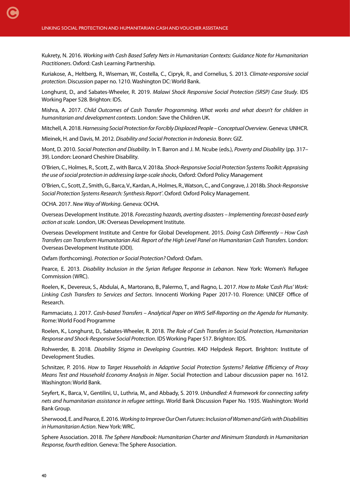Kukrety, N. 2016. *Working with Cash Based Safety Nets in Humanitarian Contexts: Guidance Note for Humanitarian Practitioners*. Oxford: Cash Learning Partnership.

Kuriakose, A., Heltberg, R., Wiseman, W., Costella, C., Cipryk, R., and Cornelius, S. 2013. *Climate-responsive social protection*. Discussion paper no. 1210. Washington DC: World Bank.

Longhurst, D., and Sabates-Wheeler, R. 2019. *Malawi Shock Responsive Social Protection (SRSP) Case Study*. IDS Working Paper 528. Brighton: IDS.

Mishra, A. 2017. *Child Outcomes of Cash Transfer Programming. What works and what doesn't for children in humanitarian and development contexts*. London: Save the Children UK.

Mitchell, A. 2018. *Harnessing Social Protection for Forcibly Displaced People – Conceptual Overview*. Geneva: UNHCR.

Mleinek, H. and Davis, M. 2012. *Disability and Social Protection in Indonesia*. Bonn: GIZ.

Mont, D. 2010. *Social Protection and Disability*. In T. Barron and J. M. Ncube (eds.), *Poverty and Disability* (pp. 317– 39). London: Leonard Cheshire Disability.

O'Brien, C., Holmes, R., Scott, Z., with Barca, V. 2018a. *Shock-Responsive Social Protection Systems Toolkit: Appraising the use of social protection in addressing large-scale shocks*, Oxford: Oxford Policy Management

O'Brien, C., Scott, Z., Smith, G., Barca, V., Kardan, A., Holmes, R., Watson, C., and Congrave, J. 2018b. *Shock-Responsive Social Protection Systems Research: Synthesis Report'*.Oxford: Oxford Policy Management.

OCHA. 2017. *New Way of Working*. Geneva: OCHA.

Overseas Development Institute. 2018. *Forecasting hazards, averting disasters – Implementing forecast-based early action at scale.* London, UK: Overseas Development Institute.

Overseas Development Institute and Centre for Global Development. 2015. *Doing Cash Differently – How Cash Transfers can Transform Humanitarian Aid. Report of the High Level Panel on Humanitarian Cash Transfers*. London: Overseas Development Institute (ODI).

Oxfam (forthcoming). *Protection or Social Protection?* Oxford: Oxfam.

Pearce, E. 2013. *Disability Inclusion in the Syrian Refugee Response in Lebanon*. New York: Women's Refugee Commission (WRC).

Roelen, K., Devereux, S., Abdulai, A., Martorano, B., Palermo, T., and Ragno, L. 2017. *How to Make 'Cash Plus' Work: Linking Cash Transfers to Services and Sectors*. Innocenti Working Paper 2017-10. Florence: UNICEF Office of Research.

Rammaciato, J. 2017. *Cash-based Transfers – Analytical Paper on WHS Self-Reporting on the Agenda for Humanity*. Rome: World Food Programme

Roelen, K., Longhurst, D., Sabates-Wheeler, R. 2018. *The Role of Cash Transfers in Social Protection, Humanitarian Response and Shock-Responsive Social Protection*. IDS Working Paper 517. Brighton: IDS.

Rohwerder, B. 2018. *Disability Stigma in Developing Countries*. K4D Helpdesk Report. Brighton: Institute of Development Studies.

Schnitzer, P. 2016. *How to Target Households in Adaptive Social Protection Systems? Relative Efficiency of Proxy Means Test and Household Economy Analysis in Niger*. Social Protection and Labour discussion paper no. 1612. Washington: World Bank.

Seyfert, K., Barca, V., Gentilini, U., Luthria, M., and Abbady, S. 2019. *Unbundled: A framework for connecting safety nets and humanitarian assistance in refugee settings*. World Bank Discussion Paper No. 1935. Washington: World Bank Group.

Sherwood, E. and Pearce, E. 2016. *Working to Improve Our Own Futures: Inclusion of Women and Girls with Disabilities in Humanitarian Action*. New York: WRC.

Sphere Association. 2018. *The Sphere Handbook: Humanitarian Charter and Minimum Standards in Humanitarian Response, fourth edition*. Geneva: The Sphere Association.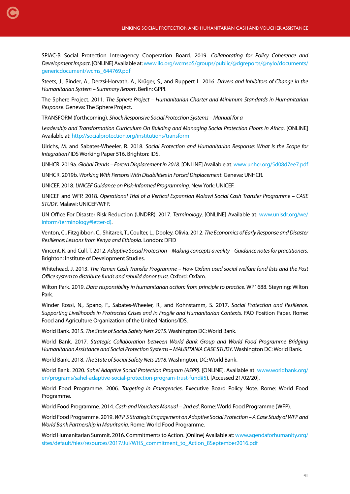SPIAC-B Social Protection Interagency Cooperation Board. 2019. *Collaborating for Policy Coherence and Development Impact*. [ONLINE] Available at: [www.ilo.org/wcmsp5/groups/public/@dgreports/@nylo/documents/](https://www.ilo.org/wcmsp5/groups/public/@dgreports/@nylo/documents/genericdocument/wcms_644769.pdf) [genericdocument/wcms\\_644769.pdf](https://www.ilo.org/wcmsp5/groups/public/@dgreports/@nylo/documents/genericdocument/wcms_644769.pdf)

Steets, J., Binder, A., Derzsi-Horvath, A., Krüger, S., and Ruppert L. 2016. *Drivers and Inhibitors of Change in the Humanitarian System – Summary Report*. Berlin: GPPI.

The Sphere Project. 2011. *The Sphere Project – Humanitarian Charter and Minimum Standards in Humanitarian Response*. Geneva: The Sphere Project.

TRANSFORM (forthcoming). *Shock Responsive Social Protection Systems – Manual for a*

[C](#page-1-0)

*Leadership and Transformation Curriculum On Building and Managing Social Protection Floors in Africa*. [ONLINE] Available at:<http://socialprotection.org/institutions/transform>

Ulrichs, M. and Sabates-Wheeler, R. 2018. *Social Protection and Humanitarian Response: What is the Scope for Integration?* IDS Working Paper 516. Brighton: IDS.

UNHCR. 2019a. *Global Trends – Forced Displacement in 2018*. [ONLINE] Available at: [www.unhcr.org/5d08d7ee7.pdf](https://www.unhcr.org/5d08d7ee7.pdf)

UNHCR. 2019b. *Working With Persons With Disabilities In Forced Displacement*. Geneva: UNHCR.

UNICEF. 2018. *UNICEF Guidance on Risk-Informed Programming*. New York: UNICEF.

UNICEF and WFP. 2018. *Operational Trial of a Vertical Expansion Malawi Social Cash Transfer Programme – CASE STUDY*. Malawi: UNICEF/WFP.

UN Office For Disaster Risk Reduction (UNDRR). 2017. *Terminology*. [ONLINE] Available at: www.unisdr.org/we/ inform/terminology#letter-d).

Venton, C., Fitzgibbon, C., Shitarek, T., Coulter, L., Dooley, Olivia. 2012. *The Economics of Early Response and Disaster Resilience: Lessons from Kenya and Ethiopia*. London: DFID

Vincent, K. and Cull, T. 2012. *Adaptive Social Protection – Making concepts a reality – Guidance notes for practitioners*. Brighton: Institute of Development Studies.

Whitehead, J. 2013. *The Yemen Cash Transfer Programme – How Oxfam used social welfare fund lists and the Post Office system to distribute funds and rebuild donor trust*.Oxford: Oxfam.

Wilton Park. 2019. *Data responsibility in humanitarian action: from principle to practice*. WP1688. Steyning: Wilton Park.

Winder Rossi, N., Spano, F., Sabates-Wheeler, R., and Kohnstamm, S. 2017. *Social Protection and Resilience. Supporting Livelihoods in Protracted Crises and in Fragile and Humanitarian Contexts*. FAO Position Paper. Rome: Food and Agriculture Organization of the United Nations/IDS.

World Bank. 2015. *The State of Social Safety Nets 2015*. Washington DC: World Bank.

World Bank. 2017. *Strategic Collaboration between World Bank Group and World Food Programme Bridging Humanitarian Assistance and Social Protection Systems – MAURITANIA CASE STUDY*. Washington DC: World Bank.

World Bank. 2018. *The State of Social Safety Nets 2018*. Washington, DC: World Bank.

World Bank. 2020. *Sahel Adaptive Social Protection Program (ASPP)*. [ONLINE]. Available at: www.worldbank.org/ en/programs/sahel-adaptive-social-protection-program-trust-fund#5). [Accessed 21/02/20].

World Food Programme. 2006. *Targeting in Emergencies*. Executive Board Policy Note. Rome: World Food Programme.

World Food Programme. 2014. *Cash and Vouchers Manual* – *2nd ed*. Rome: World Food Programme (WFP).

World Food Programme. 2019. *WFP'S Strategic Engagement on Adaptive Social Protection – A Case Study of WFP and World Bank Partnership in Mauritania*. Rome: World Food Programme.

World Humanitarian Summit. 2016. Commitments to Action. [Online] Available at: [www.agendaforhumanity.org/](https://www.agendaforhumanity.org/sites/default/files/resources/2017/Jul/WHS_commitment_to_Action_8September2016.pdf) [sites/default/files/resources/2017/Jul/WHS\\_commitment\\_to\\_Action\\_8September2016.pdf](https://www.agendaforhumanity.org/sites/default/files/resources/2017/Jul/WHS_commitment_to_Action_8September2016.pdf)